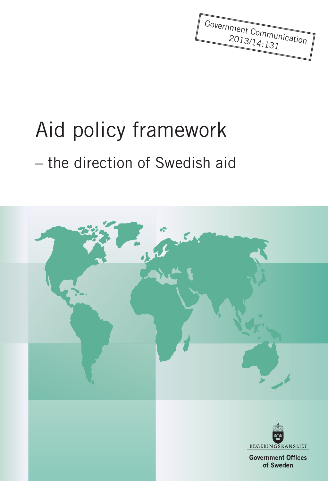Government Communication 2013/14:131

# Aid policy framework

# – the direction of Swedish aid

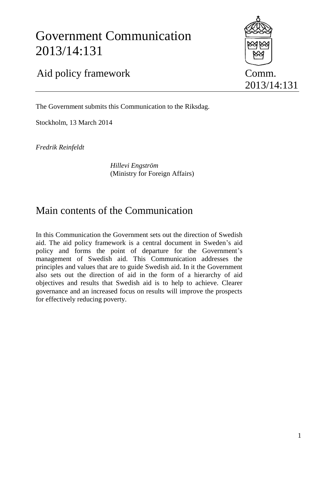# Government Communication 2013/14:131



2013/14:131

# Aid policy framework Comm.

The Government submits this Communication to the Riksdag.

Stockholm, 13 March 2014

*Fredrik Reinfeldt*

*Hillevi Engström* (Ministry for Foreign Affairs)

# Main contents of the Communication

In this Communication the Government sets out the direction of Swedish aid. The aid policy framework is a central document in Sweden's aid policy and forms the point of departure for the Government's management of Swedish aid. This Communication addresses the principles and values that are to guide Swedish aid. In it the Government also sets out the direction of aid in the form of a hierarchy of aid objectives and results that Swedish aid is to help to achieve. Clearer governance and an increased focus on results will improve the prospects for effectively reducing poverty.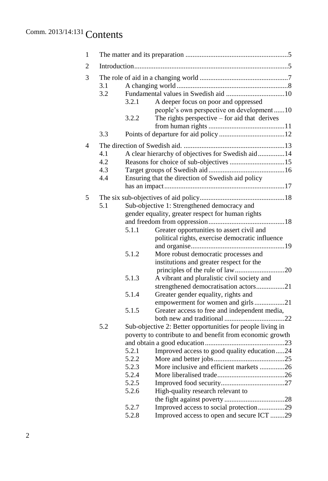# Comm. 2013/14:131 Contents

| $\mathbf{1}$ |                          |                                                                                                                                                   |                                                                                                                                                                                                                                                                                                  |  |  |  |  |
|--------------|--------------------------|---------------------------------------------------------------------------------------------------------------------------------------------------|--------------------------------------------------------------------------------------------------------------------------------------------------------------------------------------------------------------------------------------------------------------------------------------------------|--|--|--|--|
| 2            |                          |                                                                                                                                                   |                                                                                                                                                                                                                                                                                                  |  |  |  |  |
| 3            | 3.1<br>3.2               | A deeper focus on poor and oppressed<br>3.2.1                                                                                                     |                                                                                                                                                                                                                                                                                                  |  |  |  |  |
|              |                          | 3.2.2                                                                                                                                             | people's own perspective on development10<br>The rights perspective $-$ for aid that derives                                                                                                                                                                                                     |  |  |  |  |
|              | 3.3                      |                                                                                                                                                   |                                                                                                                                                                                                                                                                                                  |  |  |  |  |
| 4            | 4.1<br>4.2<br>4.3<br>4.4 | A clear hierarchy of objectives for Swedish aid14<br>Reasons for choice of sub-objectives 15<br>Ensuring that the direction of Swedish aid policy |                                                                                                                                                                                                                                                                                                  |  |  |  |  |
| 5            | 5.1                      | 5.1.1                                                                                                                                             | Sub-objective 1: Strengthened democracy and<br>gender equality, greater respect for human rights<br>Greater opportunities to assert civil and<br>political rights, exercise democratic influence                                                                                                 |  |  |  |  |
|              |                          | 5.1.2                                                                                                                                             | More robust democratic processes and<br>institutions and greater respect for the                                                                                                                                                                                                                 |  |  |  |  |
|              |                          | 5.1.3                                                                                                                                             | A vibrant and pluralistic civil society and<br>strengthened democratisation actors21                                                                                                                                                                                                             |  |  |  |  |
|              |                          | 5.1.4                                                                                                                                             | Greater gender equality, rights and<br>empowerment for women and girls21                                                                                                                                                                                                                         |  |  |  |  |
|              |                          | 5.1.5                                                                                                                                             | Greater access to free and independent media,                                                                                                                                                                                                                                                    |  |  |  |  |
|              | 5.2                      | 5.2.1<br>5.2.2<br>5.2.3<br>5.2.4<br>5.2.5<br>5.2.6<br>5.2.7                                                                                       | Sub-objective 2: Better opportunities for people living in<br>poverty to contribute to and benefit from economic growth<br>Improved access to good quality education24<br>More inclusive and efficient markets 26<br>High-quality research relevant to<br>Improved access to social protection29 |  |  |  |  |
|              |                          | 5.2.8                                                                                                                                             | Improved access to open and secure ICT 29                                                                                                                                                                                                                                                        |  |  |  |  |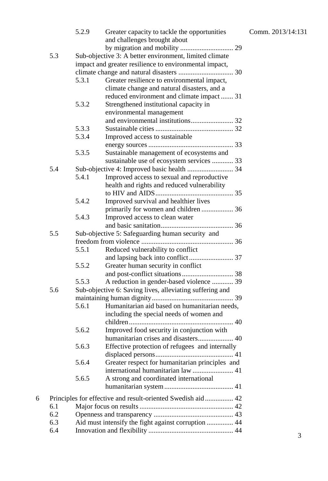|   |                                                             | 5.2.9                                                  | Greater capacity to tackle the opportunities             |  |  |  |  |
|---|-------------------------------------------------------------|--------------------------------------------------------|----------------------------------------------------------|--|--|--|--|
|   |                                                             |                                                        | and challenges brought about                             |  |  |  |  |
|   |                                                             |                                                        |                                                          |  |  |  |  |
|   | 5.3                                                         |                                                        | Sub-objective 3: A better environment, limited climate   |  |  |  |  |
|   |                                                             | impact and greater resilience to environmental impact, |                                                          |  |  |  |  |
|   |                                                             |                                                        |                                                          |  |  |  |  |
|   |                                                             | 5.3.1                                                  | Greater resilience to environmental impact,              |  |  |  |  |
|   |                                                             |                                                        | climate change and natural disasters, and a              |  |  |  |  |
|   |                                                             |                                                        | reduced environment and climate impact  31               |  |  |  |  |
|   |                                                             | 5.3.2                                                  | Strengthened institutional capacity in                   |  |  |  |  |
|   |                                                             |                                                        | environmental management                                 |  |  |  |  |
|   |                                                             |                                                        |                                                          |  |  |  |  |
|   |                                                             | 5.3.3                                                  |                                                          |  |  |  |  |
|   |                                                             | 5.3.4                                                  | Improved access to sustainable                           |  |  |  |  |
|   |                                                             |                                                        |                                                          |  |  |  |  |
|   |                                                             | 5.3.5                                                  | Sustainable management of ecosystems and                 |  |  |  |  |
|   |                                                             |                                                        | sustainable use of ecosystem services  33                |  |  |  |  |
|   | 5.4                                                         |                                                        |                                                          |  |  |  |  |
|   |                                                             | 5.4.1                                                  | Improved access to sexual and reproductive               |  |  |  |  |
|   |                                                             |                                                        | health and rights and reduced vulnerability              |  |  |  |  |
|   |                                                             |                                                        |                                                          |  |  |  |  |
|   |                                                             | 5.4.2                                                  | Improved survival and healthier lives                    |  |  |  |  |
|   |                                                             |                                                        | primarily for women and children  36                     |  |  |  |  |
|   |                                                             | 5.4.3                                                  | Improved access to clean water                           |  |  |  |  |
|   |                                                             |                                                        |                                                          |  |  |  |  |
|   | 5.5                                                         | Sub-objective 5: Safeguarding human security and       |                                                          |  |  |  |  |
|   |                                                             |                                                        |                                                          |  |  |  |  |
|   |                                                             | 5.5.1                                                  | Reduced vulnerability to conflict                        |  |  |  |  |
|   |                                                             |                                                        |                                                          |  |  |  |  |
|   |                                                             | 5.5.2                                                  | Greater human security in conflict                       |  |  |  |  |
|   |                                                             |                                                        |                                                          |  |  |  |  |
|   |                                                             | 5.5.3                                                  | A reduction in gender-based violence  39                 |  |  |  |  |
|   | 5.6                                                         |                                                        | Sub-objective 6: Saving lives, alleviating suffering and |  |  |  |  |
|   |                                                             |                                                        |                                                          |  |  |  |  |
|   |                                                             | 5.6.1                                                  | Humanitarian aid based on humanitarian needs,            |  |  |  |  |
|   |                                                             |                                                        | including the special needs of women and                 |  |  |  |  |
|   |                                                             |                                                        |                                                          |  |  |  |  |
|   |                                                             | 5.6.2                                                  | Improved food security in conjunction with               |  |  |  |  |
|   |                                                             |                                                        | humanitarian crises and disasters 40                     |  |  |  |  |
|   |                                                             | 5.6.3                                                  | Effective protection of refugees and internally          |  |  |  |  |
|   |                                                             |                                                        |                                                          |  |  |  |  |
|   |                                                             | 5.6.4                                                  | Greater respect for humanitarian principles and          |  |  |  |  |
|   |                                                             |                                                        | international humanitarian law  41                       |  |  |  |  |
|   |                                                             | 5.6.5                                                  | A strong and coordinated international                   |  |  |  |  |
|   |                                                             |                                                        |                                                          |  |  |  |  |
|   |                                                             |                                                        |                                                          |  |  |  |  |
| 6 | Principles for effective and result-oriented Swedish aid 42 |                                                        |                                                          |  |  |  |  |
|   | 6.1                                                         |                                                        |                                                          |  |  |  |  |
|   | 6.2                                                         |                                                        |                                                          |  |  |  |  |
|   | 6.3                                                         | Aid must intensify the fight against corruption  44    |                                                          |  |  |  |  |
|   | 6.4                                                         |                                                        |                                                          |  |  |  |  |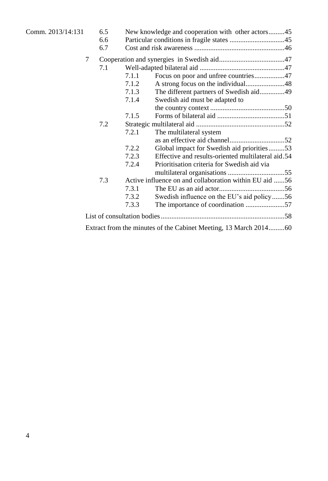| Comm. 2013/14:131 |   | 6.5<br>6.6<br>6.7 |                                                        | New knowledge and cooperation with other actors45                |  |
|-------------------|---|-------------------|--------------------------------------------------------|------------------------------------------------------------------|--|
|                   | 7 |                   |                                                        |                                                                  |  |
|                   |   | 7.1               |                                                        |                                                                  |  |
|                   |   |                   | 7.1.1                                                  | Focus on poor and unfree countries47                             |  |
|                   |   |                   | 7.1.2                                                  |                                                                  |  |
|                   |   |                   | 7.1.3                                                  | The different partners of Swedish aid49                          |  |
|                   |   |                   | 7.1.4                                                  | Swedish aid must be adapted to                                   |  |
|                   |   |                   |                                                        |                                                                  |  |
|                   |   |                   | 7.1.5                                                  |                                                                  |  |
|                   |   | 7.2               |                                                        |                                                                  |  |
|                   |   |                   | 7.2.1                                                  | The multilateral system                                          |  |
|                   |   |                   |                                                        |                                                                  |  |
|                   |   |                   | 7.2.2                                                  | Global impact for Swedish aid priorities53                       |  |
|                   |   |                   | 7.2.3                                                  | Effective and results-oriented multilateral aid.54               |  |
|                   |   |                   | 7.2.4                                                  | Prioritisation criteria for Swedish aid via                      |  |
|                   |   |                   |                                                        |                                                                  |  |
|                   |   | 7.3               | Active influence on and collaboration within EU aid 56 |                                                                  |  |
|                   |   |                   | 7.3.1                                                  |                                                                  |  |
|                   |   |                   | 7.3.2                                                  | Swedish influence on the EU's aid policy56                       |  |
|                   |   |                   | 7.3.3                                                  | The importance of coordination 57                                |  |
|                   |   |                   |                                                        |                                                                  |  |
|                   |   |                   |                                                        | Extract from the minutes of the Cabinet Meeting, 13 March 201460 |  |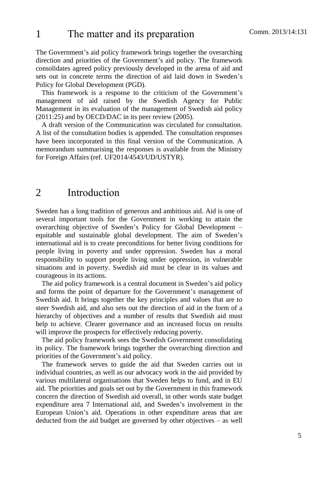The Government's aid policy framework brings together the overarching direction and priorities of the Government's aid policy. The framework consolidates agreed policy previously developed in the arena of aid and sets out in concrete terms the direction of aid laid down in Sweden's Policy for Global Development (PGD).

This framework is a response to the criticism of the Government's management of aid raised by the Swedish Agency for Public Management in its evaluation of the management of Swedish aid policy (2011:25) and by OECD/DAC in its peer review (2005).

A draft version of the Communication was circulated for consultation. A list of the consultation bodies is appended. The consultation responses have been incorporated in this final version of the Communication. A memorandum summarising the responses is available from the Ministry for Foreign Affairs (ref. UF2014/4543/UD/USTYR).

# 2 Introduction

Sweden has a long tradition of generous and ambitious aid. Aid is one of several important tools for the Government in working to attain the overarching objective of Sweden's Policy for Global Development – equitable and sustainable global development. The aim of Sweden's international aid is to create preconditions for better living conditions for people living in poverty and under oppression. Sweden has a moral responsibility to support people living under oppression, in vulnerable situations and in poverty. Swedish aid must be clear in its values and courageous in its actions.

The aid policy framework is a central document in Sweden's aid policy and forms the point of departure for the Government's management of Swedish aid. It brings together the key principles and values that are to steer Swedish aid, and also sets out the direction of aid in the form of a hierarchy of objectives and a number of results that Swedish aid must help to achieve. Clearer governance and an increased focus on results will improve the prospects for effectively reducing poverty.

The aid policy framework sees the Swedish Government consolidating its policy. The framework brings together the overarching direction and priorities of the Government's aid policy.

The framework serves to guide the aid that Sweden carries out in individual countries, as well as our advocacy work in the aid provided by various multilateral organisations that Sweden helps to fund, and in EU aid. The priorities and goals set out by the Government in this framework concern the direction of Swedish aid overall, in other words state budget expenditure area 7 International aid, and Sweden's involvement in the European Union's aid. Operations in other expenditure areas that are deducted from the aid budget are governed by other objectives – as well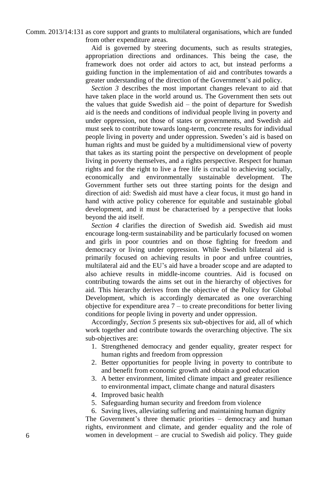Comm. 2013/14:131 as core support and grants to multilateral organisations, which are funded from other expenditure areas.

> Aid is governed by steering documents, such as results strategies, appropriation directions and ordinances. This being the case, the framework does not order aid actors to act, but instead performs a guiding function in the implementation of aid and contributes towards a greater understanding of the direction of the Government's aid policy.

> *Section 3* describes the most important changes relevant to aid that have taken place in the world around us. The Government then sets out the values that guide Swedish aid – the point of departure for Swedish aid is the needs and conditions of individual people living in poverty and under oppression, not those of states or governments, and Swedish aid must seek to contribute towards long-term, concrete results for individual people living in poverty and under oppression. Sweden's aid is based on human rights and must be guided by a multidimensional view of poverty that takes as its starting point the perspective on development of people living in poverty themselves, and a rights perspective. Respect for human rights and for the right to live a free life is crucial to achieving socially, economically and environmentally sustainable development. The Government further sets out three starting points for the design and direction of aid: Swedish aid must have a clear focus, it must go hand in hand with active policy coherence for equitable and sustainable global development, and it must be characterised by a perspective that looks beyond the aid itself.

> *Section 4* clarifies the direction of Swedish aid. Swedish aid must encourage long-term sustainability and be particularly focused on women and girls in poor countries and on those fighting for freedom and democracy or living under oppression. While Swedish bilateral aid is primarily focused on achieving results in poor and unfree countries, multilateral aid and the EU's aid have a broader scope and are adapted to also achieve results in middle-income countries. Aid is focused on contributing towards the aims set out in the hierarchy of objectives for aid. This hierarchy derives from the objective of the Policy for Global Development, which is accordingly demarcated as one overarching objective for expenditure area  $7 -$  to create preconditions for better living conditions for people living in poverty and under oppression.

> Accordingly, *Section 5* presents six sub-objectives for aid, all of which work together and contribute towards the overarching objective. The six sub-objectives are:

- 1. Strengthened democracy and gender equality, greater respect for human rights and freedom from oppression
- 2. Better opportunities for people living in poverty to contribute to and benefit from economic growth and obtain a good education
- 3. A better environment, limited climate impact and greater resilience to environmental impact, climate change and natural disasters
- 4. Improved basic health
- 5. Safeguarding human security and freedom from violence

6. Saving lives, alleviating suffering and maintaining human dignity The Government's three thematic priorities – democracy and human rights, environment and climate, and gender equality and the role of women in development – are crucial to Swedish aid policy. They guide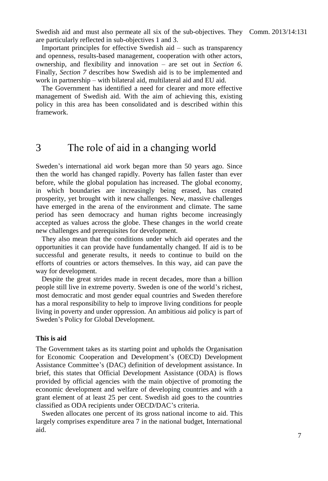Swedish aid and must also permeate all six of the sub-objectives. They Comm. 2013/14:131 are particularly reflected in sub-objectives 1 and 3.

Important principles for effective Swedish aid – such as transparency and openness, results-based management, cooperation with other actors, ownership, and flexibility and innovation – are set out in *Section 6*. Finally, *Section 7* describes how Swedish aid is to be implemented and work in partnership – with bilateral aid, multilateral aid and EU aid.

The Government has identified a need for clearer and more effective management of Swedish aid. With the aim of achieving this, existing policy in this area has been consolidated and is described within this framework.

# 3 The role of aid in a changing world

Sweden's international aid work began more than 50 years ago. Since then the world has changed rapidly. Poverty has fallen faster than ever before, while the global population has increased. The global economy, in which boundaries are increasingly being erased, has created prosperity, yet brought with it new challenges. New, massive challenges have emerged in the arena of the environment and climate. The same period has seen democracy and human rights become increasingly accepted as values across the globe. These changes in the world create new challenges and prerequisites for development.

They also mean that the conditions under which aid operates and the opportunities it can provide have fundamentally changed. If aid is to be successful and generate results, it needs to continue to build on the efforts of countries or actors themselves. In this way, aid can pave the way for development.

Despite the great strides made in recent decades, more than a billion people still live in extreme poverty. Sweden is one of the world's richest, most democratic and most gender equal countries and Sweden therefore has a moral responsibility to help to improve living conditions for people living in poverty and under oppression. An ambitious aid policy is part of Sweden's Policy for Global Development.

#### **This is aid**

The Government takes as its starting point and upholds the Organisation for Economic Cooperation and Development's (OECD) Development Assistance Committee's (DAC) definition of development assistance. In brief, this states that Official Development Assistance (ODA) is flows provided by official agencies with the main objective of promoting the economic development and welfare of developing countries and with a grant element of at least 25 per cent. Swedish aid goes to the countries classified as ODA recipients under OECD/DAC's criteria.

Sweden allocates one percent of its gross national income to aid. This largely comprises expenditure area 7 in the national budget, International aid.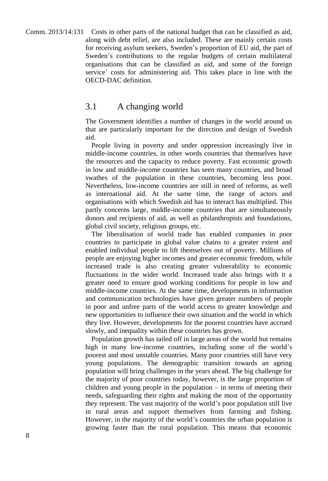Comm. 2013/14:131 Costs in other parts of the national budget that can be classified as aid, along with debt relief, are also included. These are mainly certain costs for receiving asylum seekers, Sweden's proportion of EU aid, the part of Sweden's contributions to the regular budgets of certain multilateral organisations that can be classified as aid, and some of the foreign service' costs for administering aid. This takes place in line with the OECD-DAC definition.

#### 3.1 A changing world

The Government identifies a number of changes in the world around us that are particularly important for the direction and design of Swedish aid.

People living in poverty and under oppression increasingly live in middle-income countries, in other words countries that themselves have the resources and the capacity to reduce poverty. Fast economic growth in low and middle-income countries has seen many countries, and broad swathes of the population in these countries, becoming less poor. Nevertheless, low-income countries are still in need of reforms, as well as international aid. At the same time, the range of actors and organisations with which Swedish aid has to interact has multiplied. This partly concerns large, middle-income countries that are simultaneously donors and recipients of aid, as well as philanthropists and foundations, global civil society, religious groups, etc.

The liberalisation of world trade has enabled companies in poor countries to participate in global value chains to a greater extent and enabled individual people to lift themselves out of poverty. Millions of people are enjoying higher incomes and greater economic freedom, while increased trade is also creating greater vulnerability to economic fluctuations in the wider world. Increased trade also brings with it a greater need to ensure good working conditions for people in low and middle-income countries. At the same time, developments in information and communication technologies have given greater numbers of people in poor and unfree parts of the world access to greater knowledge and new opportunities to influence their own situation and the world in which they live. However, developments for the poorest countries have accrued slowly, and inequality within these countries has grown.

Population growth has tailed off in large areas of the world but remains high in many low-income countries, including some of the world's poorest and most unstable countries. Many poor countries still have very young populations. The demographic transition towards an ageing population will bring challenges in the years ahead. The big challenge for the majority of poor countries today, however, is the large proportion of children and young people in the population  $-$  in terms of meeting their needs, safeguarding their rights and making the most of the opportunity they represent. The vast majority of the world's poor population still live in rural areas and support themselves from farming and fishing. However, in the majority of the world's countries the urban population is growing faster than the rural population. This means that economic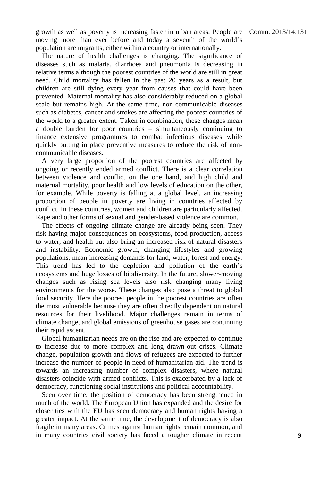growth as well as poverty is increasing faster in urban areas. People are Comm. 2013/14:131 moving more than ever before and today a seventh of the world's population are migrants, either within a country or internationally.

The nature of health challenges is changing. The significance of diseases such as malaria, diarrhoea and pneumonia is decreasing in relative terms although the poorest countries of the world are still in great need. Child mortality has fallen in the past 20 years as a result, but children are still dying every year from causes that could have been prevented. Maternal mortality has also considerably reduced on a global scale but remains high. At the same time, non-communicable diseases such as diabetes, cancer and strokes are affecting the poorest countries of the world to a greater extent. Taken in combination, these changes mean a double burden for poor countries – simultaneously continuing to finance extensive programmes to combat infectious diseases while quickly putting in place preventive measures to reduce the risk of noncommunicable diseases.

A very large proportion of the poorest countries are affected by ongoing or recently ended armed conflict. There is a clear correlation between violence and conflict on the one hand, and high child and maternal mortality, poor health and low levels of education on the other, for example. While poverty is falling at a global level, an increasing proportion of people in poverty are living in countries affected by conflict. In these countries, women and children are particularly affected. Rape and other forms of sexual and gender-based violence are common.

The effects of ongoing climate change are already being seen. They risk having major consequences on ecosystems, food production, access to water, and health but also bring an increased risk of natural disasters and instability. Economic growth, changing lifestyles and growing populations, mean increasing demands for land, water, forest and energy. This trend has led to the depletion and pollution of the earth's ecosystems and huge losses of biodiversity. In the future, slower-moving changes such as rising sea levels also risk changing many living environments for the worse. These changes also pose a threat to global food security. Here the poorest people in the poorest countries are often the most vulnerable because they are often directly dependent on natural resources for their livelihood. Major challenges remain in terms of climate change, and global emissions of greenhouse gases are continuing their rapid ascent.

Global humanitarian needs are on the rise and are expected to continue to increase due to more complex and long drawn-out crises. Climate change, population growth and flows of refugees are expected to further increase the number of people in need of humanitarian aid. The trend is towards an increasing number of complex disasters, where natural disasters coincide with armed conflicts. This is exacerbated by a lack of democracy, functioning social institutions and political accountability.

Seen over time, the position of democracy has been strengthened in much of the world. The European Union has expanded and the desire for closer ties with the EU has seen democracy and human rights having a greater impact. At the same time, the development of democracy is also fragile in many areas. Crimes against human rights remain common, and in many countries civil society has faced a tougher climate in recent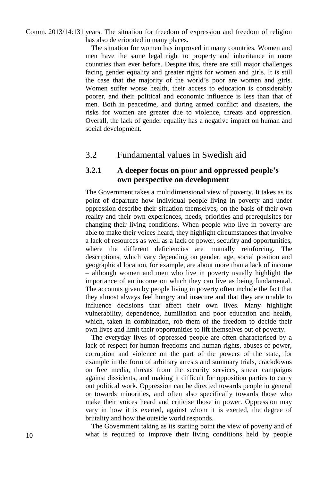Comm. 2013/14:131 years. The situation for freedom of expression and freedom of religion has also deteriorated in many places.

> The situation for women has improved in many countries. Women and men have the same legal right to property and inheritance in more countries than ever before. Despite this, there are still major challenges facing gender equality and greater rights for women and girls. It is still the case that the majority of the world's poor are women and girls. Women suffer worse health, their access to education is considerably poorer, and their political and economic influence is less than that of men. Both in peacetime, and during armed conflict and disasters, the risks for women are greater due to violence, threats and oppression. Overall, the lack of gender equality has a negative impact on human and social development.

#### 3.2 Fundamental values in Swedish aid

#### **3.2.1 A deeper focus on poor and oppressed people's own perspective on development**

The Government takes a multidimensional view of poverty. It takes as its point of departure how individual people living in poverty and under oppression describe their situation themselves, on the basis of their own reality and their own experiences, needs, priorities and prerequisites for changing their living conditions. When people who live in poverty are able to make their voices heard, they highlight circumstances that involve a lack of resources as well as a lack of power, security and opportunities, where the different deficiencies are mutually reinforcing. The descriptions, which vary depending on gender, age, social position and geographical location, for example, are about more than a lack of income – although women and men who live in poverty usually highlight the importance of an income on which they can live as being fundamental. The accounts given by people living in poverty often include the fact that they almost always feel hungry and insecure and that they are unable to influence decisions that affect their own lives. Many highlight vulnerability, dependence, humiliation and poor education and health, which, taken in combination, rob them of the freedom to decide their own lives and limit their opportunities to lift themselves out of poverty.

The everyday lives of oppressed people are often characterised by a lack of respect for human freedoms and human rights, abuses of power, corruption and violence on the part of the powers of the state, for example in the form of arbitrary arrests and summary trials, crackdowns on free media, threats from the security services, smear campaigns against dissidents, and making it difficult for opposition parties to carry out political work. Oppression can be directed towards people in general or towards minorities, and often also specifically towards those who make their voices heard and criticise those in power. Oppression may vary in how it is exerted, against whom it is exerted, the degree of brutality and how the outside world responds.

The Government taking as its starting point the view of poverty and of what is required to improve their living conditions held by people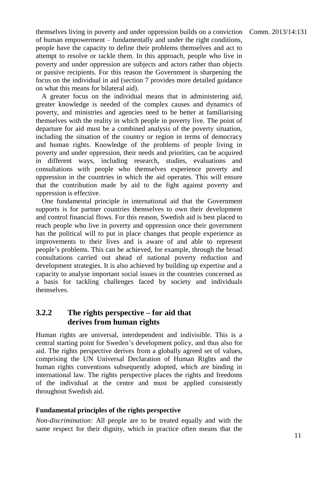themselves living in poverty and under oppression builds on a conviction Comm. 2013/14:131 of human empowerment – fundamentally and under the right conditions, people have the capacity to define their problems themselves and act to attempt to resolve or tackle them. In this approach, people who live in poverty and under oppression are subjects and actors rather than objects or passive recipients. For this reason the Government is sharpening the focus on the individual in aid (section 7 provides more detailed guidance on what this means for bilateral aid).

A greater focus on the individual means that in administering aid, greater knowledge is needed of the complex causes and dynamics of poverty, and ministries and agencies need to be better at familiarising themselves with the reality in which people in poverty live. The point of departure for aid must be a combined analysis of the poverty situation, including the situation of the country or region in terms of democracy and human rights. Knowledge of the problems of people living in poverty and under oppression, their needs and priorities, can be acquired in different ways, including research, studies, evaluations and consultations with people who themselves experience poverty and oppression in the countries in which the aid operates. This will ensure that the contribution made by aid to the fight against poverty and oppression is effective.

One fundamental principle in international aid that the Government supports is for partner countries themselves to own their development and control financial flows. For this reason, Swedish aid is best placed to reach people who live in poverty and oppression once their government has the political will to put in place changes that people experience as improvements to their lives and is aware of and able to represent people's problems. This can be achieved, for example, through the broad consultations carried out ahead of national poverty reduction and development strategies. It is also achieved by building up expertise and a capacity to analyse important social issues in the countries concerned as a basis for tackling challenges faced by society and individuals themselves.

#### **3.2.2 The rights perspective – for aid that derives from human rights**

Human rights are universal, interdependent and indivisible. This is a central starting point for Sweden's development policy, and thus also for aid. The rights perspective derives from a globally agreed set of values, comprising the UN Universal Declaration of Human Rights and the human rights conventions subsequently adopted, which are binding in international law. The rights perspective places the rights and freedoms of the individual at the centre and must be applied consistently throughout Swedish aid.

#### **Fundamental principles of the rights perspective**

*Non-discrimination:* All people are to be treated equally and with the same respect for their dignity, which in practice often means that the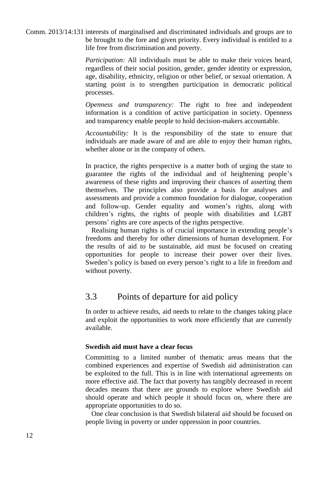Comm. 2013/14:131 interests of marginalised and discriminated individuals and groups are to be brought to the fore and given priority. Every individual is entitled to a life free from discrimination and poverty.

> *Participation:* All individuals must be able to make their voices heard, regardless of their social position, gender, gender identity or expression, age, disability, ethnicity, religion or other belief, or sexual orientation. A starting point is to strengthen participation in democratic political processes.

> *Openness and transparency:* The right to free and independent information is a condition of active participation in society. Openness and transparency enable people to hold decision-makers accountable.

> *Accountability:* It is the responsibility of the state to ensure that individuals are made aware of and are able to enjoy their human rights, whether alone or in the company of others.

> In practice, the rights perspective is a matter both of urging the state to guarantee the rights of the individual and of heightening people's awareness of these rights and improving their chances of asserting them themselves. The principles also provide a basis for analyses and assessments and provide a common foundation for dialogue, cooperation and follow-up. Gender equality and women's rights, along with children's rights, the rights of people with disabilities and LGBT persons' rights are core aspects of the rights perspective.

> Realising human rights is of crucial importance in extending people's freedoms and thereby for other dimensions of human development. For the results of aid to be sustainable, aid must be focused on creating opportunities for people to increase their power over their lives. Sweden's policy is based on every person's right to a life in freedom and without poverty.

#### 3.3 Points of departure for aid policy

In order to achieve results, aid needs to relate to the changes taking place and exploit the opportunities to work more efficiently that are currently available.

#### **Swedish aid must have a clear focus**

Committing to a limited number of thematic areas means that the combined experiences and expertise of Swedish aid administration can be exploited to the full. This is in line with international agreements on more effective aid. The fact that poverty has tangibly decreased in recent decades means that there are grounds to explore where Swedish aid should operate and which people it should focus on, where there are appropriate opportunities to do so.

One clear conclusion is that Swedish bilateral aid should be focused on people living in poverty or under oppression in poor countries.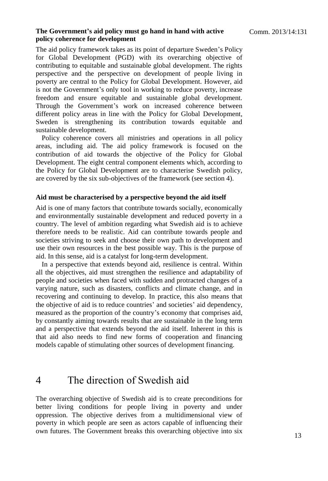#### **The Government's aid policy must go hand in hand with active policy coherence for development**

The aid policy framework takes as its point of departure Sweden's Policy for Global Development (PGD) with its overarching objective of contributing to equitable and sustainable global development. The rights perspective and the perspective on development of people living in poverty are central to the Policy for Global Development. However, aid is not the Government's only tool in working to reduce poverty, increase freedom and ensure equitable and sustainable global development. Through the Government's work on increased coherence between different policy areas in line with the Policy for Global Development, Sweden is strengthening its contribution towards equitable and sustainable development.

Policy coherence covers all ministries and operations in all policy areas, including aid. The aid policy framework is focused on the contribution of aid towards the objective of the Policy for Global Development. The eight central component elements which, according to the Policy for Global Development are to characterise Swedish policy, are covered by the six sub-objectives of the framework (see section 4).

#### **Aid must be characterised by a perspective beyond the aid itself**

Aid is one of many factors that contribute towards socially, economically and environmentally sustainable development and reduced poverty in a country. The level of ambition regarding what Swedish aid is to achieve therefore needs to be realistic. Aid can contribute towards people and societies striving to seek and choose their own path to development and use their own resources in the best possible way. This is the purpose of aid. In this sense, aid is a catalyst for long-term development.

In a perspective that extends beyond aid, resilience is central. Within all the objectives, aid must strengthen the resilience and adaptability of people and societies when faced with sudden and protracted changes of a varying nature, such as disasters, conflicts and climate change, and in recovering and continuing to develop. In practice, this also means that the objective of aid is to reduce countries' and societies' aid dependency, measured as the proportion of the country's economy that comprises aid, by constantly aiming towards results that are sustainable in the long term and a perspective that extends beyond the aid itself. Inherent in this is that aid also needs to find new forms of cooperation and financing models capable of stimulating other sources of development financing.

# 4 The direction of Swedish aid

The overarching objective of Swedish aid is to create preconditions for better living conditions for people living in poverty and under oppression. The objective derives from a multidimensional view of poverty in which people are seen as actors capable of influencing their own futures. The Government breaks this overarching objective into six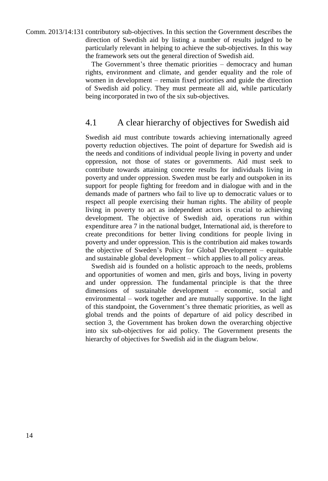Comm. 2013/14:131 contributory sub-objectives. In this section the Government describes the direction of Swedish aid by listing a number of results judged to be particularly relevant in helping to achieve the sub-objectives. In this way the framework sets out the general direction of Swedish aid.

> The Government's three thematic priorities – democracy and human rights, environment and climate, and gender equality and the role of women in development – remain fixed priorities and guide the direction of Swedish aid policy. They must permeate all aid, while particularly being incorporated in two of the six sub-objectives.

#### 4.1 A clear hierarchy of objectives for Swedish aid

Swedish aid must contribute towards achieving internationally agreed poverty reduction objectives. The point of departure for Swedish aid is the needs and conditions of individual people living in poverty and under oppression, not those of states or governments. Aid must seek to contribute towards attaining concrete results for individuals living in poverty and under oppression. Sweden must be early and outspoken in its support for people fighting for freedom and in dialogue with and in the demands made of partners who fail to live up to democratic values or to respect all people exercising their human rights. The ability of people living in poverty to act as independent actors is crucial to achieving development. The objective of Swedish aid, operations run within expenditure area 7 in the national budget, International aid, is therefore to create preconditions for better living conditions for people living in poverty and under oppression. This is the contribution aid makes towards the objective of Sweden's Policy for Global Development – equitable and sustainable global development – which applies to all policy areas.

Swedish aid is founded on a holistic approach to the needs, problems and opportunities of women and men, girls and boys, living in poverty and under oppression. The fundamental principle is that the three dimensions of sustainable development – economic, social and environmental – work together and are mutually supportive. In the light of this standpoint, the Government's three thematic priorities, as well as global trends and the points of departure of aid policy described in section 3, the Government has broken down the overarching objective into six sub-objectives for aid policy. The Government presents the hierarchy of objectives for Swedish aid in the diagram below.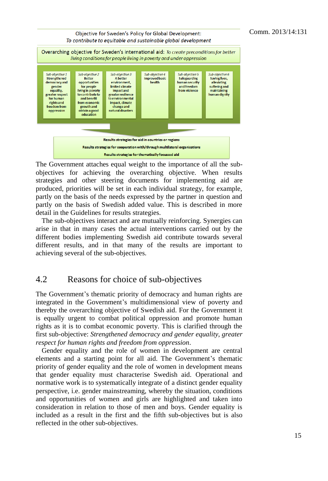

The Government attaches equal weight to the importance of all the subobjectives for achieving the overarching objective. When results strategies and other steering documents for implementing aid are produced, priorities will be set in each individual strategy, for example, partly on the basis of the needs expressed by the partner in question and partly on the basis of Swedish added value. This is described in more detail in the Guidelines for results strategies.

The sub-objectives interact and are mutually reinforcing. Synergies can arise in that in many cases the actual interventions carried out by the different bodies implementing Swedish aid contribute towards several different results, and in that many of the results are important to achieving several of the sub-objectives.

#### 4.2 Reasons for choice of sub-objectives

The Government's thematic priority of democracy and human rights are integrated in the Government's multidimensional view of poverty and thereby the overarching objective of Swedish aid. For the Government it is equally urgent to combat political oppression and promote human rights as it is to combat economic poverty. This is clarified through the first sub-objective: *Strengthened democracy and gender equality, greater respect for human rights and freedom from oppression.*

Gender equality and the role of women in development are central elements and a starting point for all aid. The Government's thematic priority of gender equality and the role of women in development means that gender equality must characterise Swedish aid. Operational and normative work is to systematically integrate of a distinct gender equality perspective, i.e. gender mainstreaming, whereby the situation, conditions and opportunities of women and girls are highlighted and taken into consideration in relation to those of men and boys. Gender equality is included as a result in the first and the fifth sub-objectives but is also reflected in the other sub-objectives.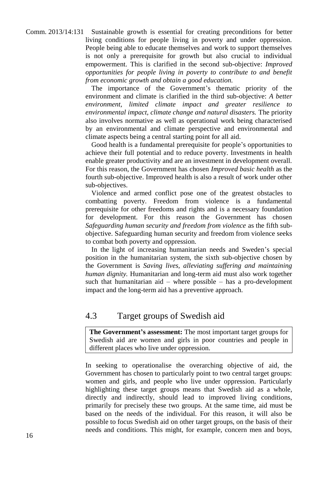Comm. 2013/14:131 Sustainable growth is essential for creating preconditions for better living conditions for people living in poverty and under oppression. People being able to educate themselves and work to support themselves is not only a prerequisite for growth but also crucial to individual empowerment. This is clarified in the second sub-objective: *Improved opportunities for people living in poverty to contribute to and benefit from economic growth and obtain a good education.*

> The importance of the Government's thematic priority of the environment and climate is clarified in the third sub-objective: *A better environment, limited climate impact and greater resilience to environmental impact, climate change and natural disasters.* The priority also involves normative as well as operational work being characterised by an environmental and climate perspective and environmental and climate aspects being a central starting point for all aid.

> Good health is a fundamental prerequisite for people's opportunities to achieve their full potential and to reduce poverty. Investments in health enable greater productivity and are an investment in development overall. For this reason, the Government has chosen *Improved basic health* as the fourth sub-objective. Improved health is also a result of work under other sub-objectives.

> Violence and armed conflict pose one of the greatest obstacles to combatting poverty. Freedom from violence is a fundamental prerequisite for other freedoms and rights and is a necessary foundation for development. For this reason the Government has chosen *Safeguarding human security and freedom from violence* as the fifth subobjective. Safeguarding human security and freedom from violence seeks to combat both poverty and oppression.

> In the light of increasing humanitarian needs and Sweden's special position in the humanitarian system, the sixth sub-objective chosen by the Government is *Saving lives, alleviating suffering and maintaining human dignity.* Humanitarian and long-term aid must also work together such that humanitarian aid – where possible – has a pro-development impact and the long-term aid has a preventive approach.

#### 4.3 Target groups of Swedish aid

**The Government's assessment:** The most important target groups for Swedish aid are women and girls in poor countries and people in different places who live under oppression.

In seeking to operationalise the overarching objective of aid, the Government has chosen to particularly point to two central target groups: women and girls, and people who live under oppression. Particularly highlighting these target groups means that Swedish aid as a whole, directly and indirectly, should lead to improved living conditions, primarily for precisely these two groups. At the same time, aid must be based on the needs of the individual. For this reason, it will also be possible to focus Swedish aid on other target groups, on the basis of their needs and conditions. This might, for example, concern men and boys,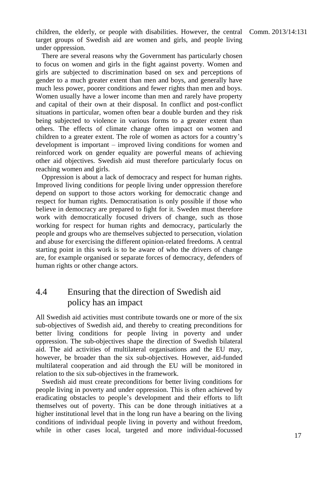children, the elderly, or people with disabilities. However, the central Comm. 2013/14:131 target groups of Swedish aid are women and girls, and people living under oppression.

There are several reasons why the Government has particularly chosen to focus on women and girls in the fight against poverty. Women and girls are subjected to discrimination based on sex and perceptions of gender to a much greater extent than men and boys, and generally have much less power, poorer conditions and fewer rights than men and boys. Women usually have a lower income than men and rarely have property and capital of their own at their disposal. In conflict and post-conflict situations in particular, women often bear a double burden and they risk being subjected to violence in various forms to a greater extent than others. The effects of climate change often impact on women and children to a greater extent. The role of women as actors for a country's development is important – improved living conditions for women and reinforced work on gender equality are powerful means of achieving other aid objectives. Swedish aid must therefore particularly focus on reaching women and girls.

Oppression is about a lack of democracy and respect for human rights. Improved living conditions for people living under oppression therefore depend on support to those actors working for democratic change and respect for human rights. Democratisation is only possible if those who believe in democracy are prepared to fight for it. Sweden must therefore work with democratically focused drivers of change, such as those working for respect for human rights and democracy, particularly the people and groups who are themselves subjected to persecution, violation and abuse for exercising the different opinion-related freedoms. A central starting point in this work is to be aware of who the drivers of change are, for example organised or separate forces of democracy, defenders of human rights or other change actors.

### 4.4 Ensuring that the direction of Swedish aid policy has an impact

All Swedish aid activities must contribute towards one or more of the six sub-objectives of Swedish aid, and thereby to creating preconditions for better living conditions for people living in poverty and under oppression. The sub-objectives shape the direction of Swedish bilateral aid. The aid activities of multilateral organisations and the EU may, however, be broader than the six sub-objectives. However, aid-funded multilateral cooperation and aid through the EU will be monitored in relation to the six sub-objectives in the framework.

Swedish aid must create preconditions for better living conditions for people living in poverty and under oppression. This is often achieved by eradicating obstacles to people's development and their efforts to lift themselves out of poverty. This can be done through initiatives at a higher institutional level that in the long run have a bearing on the living conditions of individual people living in poverty and without freedom, while in other cases local, targeted and more individual-focussed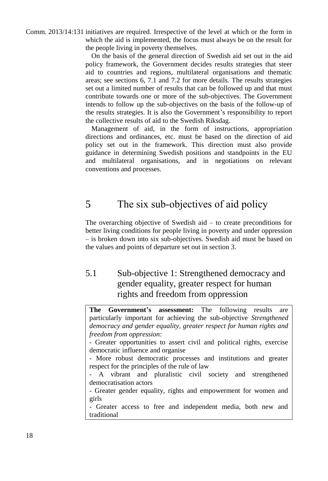Comm. 2013/14:131 initiatives are required. Irrespective of the level at which or the form in which the aid is implemented, the focus must always be on the result for the people living in poverty themselves.

> On the basis of the general direction of Swedish aid set out in the aid policy framework, the Government decides results strategies that steer aid to countries and regions, multilateral organisations and thematic areas; see sections 6, 7.1 and 7.2 for more details. The results strategies set out a limited number of results that can be followed up and that must contribute towards one or more of the sub-objectives. The Government intends to follow up the sub-objectives on the basis of the follow-up of the results strategies. It is also the Government's responsibility to report the collective results of aid to the Swedish Riksdag.

> Management of aid, in the form of instructions, appropriation directions and ordinances, etc. must be based on the direction of aid policy set out in the framework. This direction must also provide guidance in determining Swedish positions and standpoints in the EU and multilateral organisations, and in negotiations on relevant conventions and processes.

# 5 The six sub-objectives of aid policy

The overarching objective of Swedish aid  $-$  to create preconditions for better living conditions for people living in poverty and under oppression – is broken down into six sub-objectives. Swedish aid must be based on the values and points of departure set out in section 3.

# 5.1 Sub-objective 1: Strengthened democracy and gender equality, greater respect for human rights and freedom from oppression

**The Government's assessment:** The following results are particularly important for achieving the sub-objective *Strengthened democracy and gender equality, greater respect for human rights and freedom from oppression*:

- Greater opportunities to assert civil and political rights, exercise democratic influence and organise

- More robust democratic processes and institutions and greater respect for the principles of the rule of law

- A vibrant and pluralistic civil society and strengthened democratisation actors

- Greater gender equality, rights and empowerment for women and girls

- Greater access to free and independent media, both new and traditional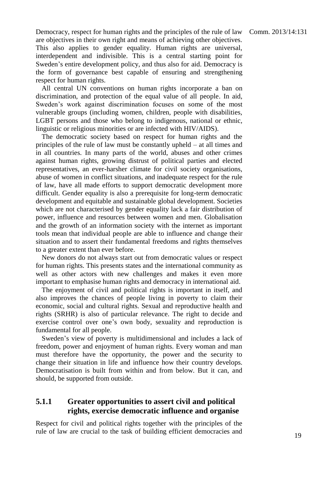Democracy, respect for human rights and the principles of the rule of law Comm. 2013/14:131 are objectives in their own right and means of achieving other objectives. This also applies to gender equality. Human rights are universal, interdependent and indivisible. This is a central starting point for Sweden's entire development policy, and thus also for aid. Democracy is the form of governance best capable of ensuring and strengthening respect for human rights.

All central UN conventions on human rights incorporate a ban on discrimination, and protection of the equal value of all people. In aid, Sweden's work against discrimination focuses on some of the most vulnerable groups (including women, children, people with disabilities, LGBT persons and those who belong to indigenous, national or ethnic, linguistic or religious minorities or are infected with HIV/AIDS).

The democratic society based on respect for human rights and the principles of the rule of law must be constantly upheld – at all times and in all countries. In many parts of the world, abuses and other crimes against human rights, growing distrust of political parties and elected representatives, an ever-harsher climate for civil society organisations, abuse of women in conflict situations, and inadequate respect for the rule of law, have all made efforts to support democratic development more difficult. Gender equality is also a prerequisite for long-term democratic development and equitable and sustainable global development. Societies which are not characterised by gender equality lack a fair distribution of power, influence and resources between women and men. Globalisation and the growth of an information society with the internet as important tools mean that individual people are able to influence and change their situation and to assert their fundamental freedoms and rights themselves to a greater extent than ever before.

New donors do not always start out from democratic values or respect for human rights. This presents states and the international community as well as other actors with new challenges and makes it even more important to emphasise human rights and democracy in international aid.

The enjoyment of civil and political rights is important in itself, and also improves the chances of people living in poverty to claim their economic, social and cultural rights. Sexual and reproductive health and rights (SRHR) is also of particular relevance. The right to decide and exercise control over one's own body, sexuality and reproduction is fundamental for all people.

Sweden's view of poverty is multidimensional and includes a lack of freedom, power and enjoyment of human rights. Every woman and man must therefore have the opportunity, the power and the security to change their situation in life and influence how their country develops. Democratisation is built from within and from below. But it can, and should, be supported from outside.

#### **5.1.1 Greater opportunities to assert civil and political rights, exercise democratic influence and organise**

Respect for civil and political rights together with the principles of the rule of law are crucial to the task of building efficient democracies and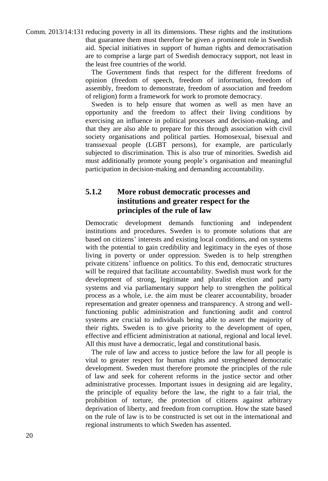Comm. 2013/14:131 reducing poverty in all its dimensions. These rights and the institutions that guarantee them must therefore be given a prominent role in Swedish aid. Special initiatives in support of human rights and democratisation are to comprise a large part of Swedish democracy support, not least in the least free countries of the world.

> The Government finds that respect for the different freedoms of opinion (freedom of speech, freedom of information, freedom of assembly, freedom to demonstrate, freedom of association and freedom of religion) form a framework for work to promote democracy.

> Sweden is to help ensure that women as well as men have an opportunity and the freedom to affect their living conditions by exercising an influence in political processes and decision-making, and that they are also able to prepare for this through association with civil society organisations and political parties. Homosexual, bisexual and transsexual people (LGBT persons), for example, are particularly subjected to discrimination. This is also true of minorities. Swedish aid must additionally promote young people's organisation and meaningful participation in decision-making and demanding accountability.

#### **5.1.2 More robust democratic processes and institutions and greater respect for the principles of the rule of law**

Democratic development demands functioning and independent institutions and procedures. Sweden is to promote solutions that are based on citizens' interests and existing local conditions, and on systems with the potential to gain credibility and legitimacy in the eyes of those living in poverty or under oppression. Sweden is to help strengthen private citizens' influence on politics. To this end, democratic structures will be required that facilitate accountability. Swedish must work for the development of strong, legitimate and pluralist election and party systems and via parliamentary support help to strengthen the political process as a whole, i.e. the aim must be clearer accountability, broader representation and greater openness and transparency. A strong and wellfunctioning public administration and functioning audit and control systems are crucial to individuals being able to assert the majority of their rights. Sweden is to give priority to the development of open, effective and efficient administration at national, regional and local level. All this must have a democratic, legal and constitutional basis.

The rule of law and access to justice before the law for all people is vital to greater respect for human rights and strengthened democratic development. Sweden must therefore promote the principles of the rule of law and seek for coherent reforms in the justice sector and other administrative processes. Important issues in designing aid are legality, the principle of equality before the law, the right to a fair trial, the prohibition of torture, the protection of citizens against arbitrary deprivation of liberty, and freedom from corruption. How the state based on the rule of law is to be constructed is set out in the international and regional instruments to which Sweden has assented.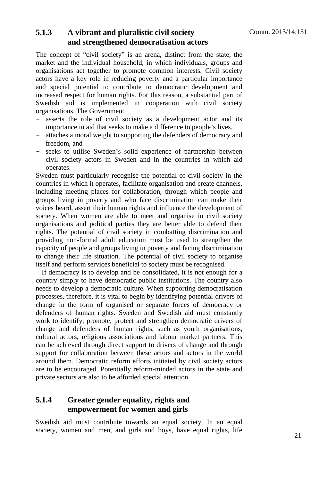### **5.1.3 A vibrant and pluralistic civil society and strengthened democratisation actors**

The concept of "civil society" is an arena, distinct from the state, the market and the individual household, in which individuals, groups and organisations act together to promote common interests. Civil society actors have a key role in reducing poverty and a particular importance and special potential to contribute to democratic development and increased respect for human rights. For this reason, a substantial part of Swedish aid is implemented in cooperation with civil society organisations. The Government

- asserts the role of civil society as a development actor and its importance in aid that seeks to make a difference to people's lives.
- attaches a moral weight to supporting the defenders of democracy and freedom, and
- seeks to utilise Sweden's solid experience of partnership between civil society actors in Sweden and in the countries in which aid operates.

Sweden must particularly recognise the potential of civil society in the countries in which it operates, facilitate organisation and create channels, including meeting places for collaboration, through which people and groups living in poverty and who face discrimination can make their voices heard, assert their human rights and influence the development of society. When women are able to meet and organise in civil society organisations and political parties they are better able to defend their rights. The potential of civil society in combatting discrimination and providing non-formal adult education must be used to strengthen the capacity of people and groups living in poverty and facing discrimination to change their life situation. The potential of civil society to organise itself and perform services beneficial to society must be recognised.

If democracy is to develop and be consolidated, it is not enough for a country simply to have democratic public institutions. The country also needs to develop a democratic culture. When supporting democratisation processes, therefore, it is vital to begin by identifying potential drivers of change in the form of organised or separate forces of democracy or defenders of human rights. Sweden and Swedish aid must constantly work to identify, promote, protect and strengthen democratic drivers of change and defenders of human rights, such as youth organisations, cultural actors, religious associations and labour market partners. This can be achieved through direct support to drivers of change and through support for collaboration between these actors and actors in the world around them. Democratic reform efforts initiated by civil society actors are to be encouraged. Potentially reform-minded actors in the state and private sectors are also to be afforded special attention.

#### **5.1.4 Greater gender equality, rights and empowerment for women and girls**

Swedish aid must contribute towards an equal society. In an equal society, women and men, and girls and boys, have equal rights, life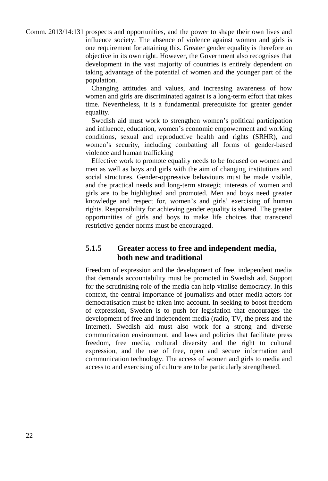Comm. 2013/14:131 prospects and opportunities, and the power to shape their own lives and influence society. The absence of violence against women and girls is one requirement for attaining this. Greater gender equality is therefore an objective in its own right. However, the Government also recognises that development in the vast majority of countries is entirely dependent on taking advantage of the potential of women and the younger part of the population.

> Changing attitudes and values, and increasing awareness of how women and girls are discriminated against is a long-term effort that takes time. Nevertheless, it is a fundamental prerequisite for greater gender equality.

> Swedish aid must work to strengthen women's political participation and influence, education, women's economic empowerment and working conditions, sexual and reproductive health and rights (SRHR), and women's security, including combatting all forms of gender-based violence and human trafficking

> Effective work to promote equality needs to be focused on women and men as well as boys and girls with the aim of changing institutions and social structures. Gender-oppressive behaviours must be made visible, and the practical needs and long-term strategic interests of women and girls are to be highlighted and promoted. Men and boys need greater knowledge and respect for, women's and girls' exercising of human rights. Responsibility for achieving gender equality is shared. The greater opportunities of girls and boys to make life choices that transcend restrictive gender norms must be encouraged.

#### **5.1.5 Greater access to free and independent media, both new and traditional**

Freedom of expression and the development of free, independent media that demands accountability must be promoted in Swedish aid. Support for the scrutinising role of the media can help vitalise democracy. In this context, the central importance of journalists and other media actors for democratisation must be taken into account. In seeking to boost freedom of expression, Sweden is to push for legislation that encourages the development of free and independent media (radio, TV, the press and the Internet). Swedish aid must also work for a strong and diverse communication environment, and laws and policies that facilitate press freedom, free media, cultural diversity and the right to cultural expression, and the use of free, open and secure information and communication technology. The access of women and girls to media and access to and exercising of culture are to be particularly strengthened.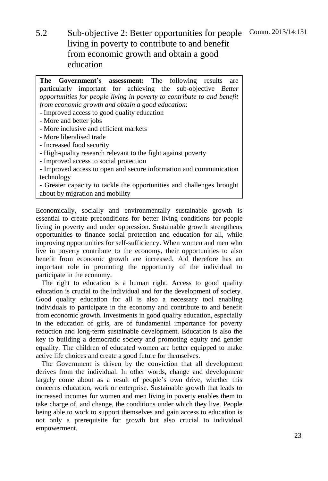Comm. 2013/14:131 5.2 Sub-objective 2: Better opportunities for people living in poverty to contribute to and benefit from economic growth and obtain a good education

**The Government's assessment:** The following results are particularly important for achieving the sub-objective *Better opportunities for people living in poverty to contribute to and benefit from economic growth and obtain a good education*: - Improved access to good quality education - More and better jobs - More inclusive and efficient markets - More liberalised trade - Increased food security - High-quality research relevant to the fight against poverty - Improved access to social protection - Improved access to open and secure information and communication technology

- Greater capacity to tackle the opportunities and challenges brought about by migration and mobility

Economically, socially and environmentally sustainable growth is essential to create preconditions for better living conditions for people living in poverty and under oppression. Sustainable growth strengthens opportunities to finance social protection and education for all, while improving opportunities for self-sufficiency. When women and men who live in poverty contribute to the economy, their opportunities to also benefit from economic growth are increased. Aid therefore has an important role in promoting the opportunity of the individual to participate in the economy.

The right to education is a human right. Access to good quality education is crucial to the individual and for the development of society. Good quality education for all is also a necessary tool enabling individuals to participate in the economy and contribute to and benefit from economic growth. Investments in good quality education, especially in the education of girls, are of fundamental importance for poverty reduction and long-term sustainable development. Education is also the key to building a democratic society and promoting equity and gender equality. The children of educated women are better equipped to make active life choices and create a good future for themselves.

The Government is driven by the conviction that all development derives from the individual. In other words, change and development largely come about as a result of people's own drive, whether this concerns education, work or enterprise. Sustainable growth that leads to increased incomes for women and men living in poverty enables them to take charge of, and change, the conditions under which they live. People being able to work to support themselves and gain access to education is not only a prerequisite for growth but also crucial to individual empowerment.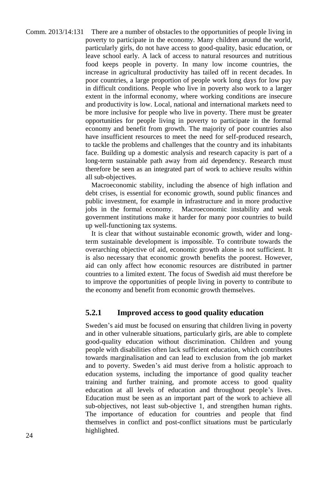Comm. 2013/14:131 There are a number of obstacles to the opportunities of people living in poverty to participate in the economy. Many children around the world, particularly girls, do not have access to good-quality, basic education, or leave school early. A lack of access to natural resources and nutritious food keeps people in poverty. In many low income countries, the increase in agricultural productivity has tailed off in recent decades. In poor countries, a large proportion of people work long days for low pay in difficult conditions. People who live in poverty also work to a larger extent in the informal economy, where working conditions are insecure and productivity is low. Local, national and international markets need to be more inclusive for people who live in poverty. There must be greater opportunities for people living in poverty to participate in the formal economy and benefit from growth. The majority of poor countries also have insufficient resources to meet the need for self-produced research, to tackle the problems and challenges that the country and its inhabitants face. Building up a domestic analysis and research capacity is part of a long-term sustainable path away from aid dependency. Research must therefore be seen as an integrated part of work to achieve results within all sub-objectives.

Macroeconomic stability, including the absence of high inflation and debt crises, is essential for economic growth, sound public finances and public investment, for example in infrastructure and in more productive jobs in the formal economy. Macroeconomic instability and weak government institutions make it harder for many poor countries to build up well-functioning tax systems.

It is clear that without sustainable economic growth, wider and longterm sustainable development is impossible. To contribute towards the overarching objective of aid, economic growth alone is not sufficient. It is also necessary that economic growth benefits the poorest. However, aid can only affect how economic resources are distributed in partner countries to a limited extent. The focus of Swedish aid must therefore be to improve the opportunities of people living in poverty to contribute to the economy and benefit from economic growth themselves.

#### **5.2.1 Improved access to good quality education**

Sweden's aid must be focused on ensuring that children living in poverty and in other vulnerable situations, particularly girls, are able to complete good-quality education without discrimination. Children and young people with disabilities often lack sufficient education, which contributes towards marginalisation and can lead to exclusion from the job market and to poverty. Sweden's aid must derive from a holistic approach to education systems, including the importance of good quality teacher training and further training, and promote access to good quality education at all levels of education and throughout people's lives. Education must be seen as an important part of the work to achieve all sub-objectives, not least sub-objective 1, and strengthen human rights. The importance of education for countries and people that find themselves in conflict and post-conflict situations must be particularly highlighted.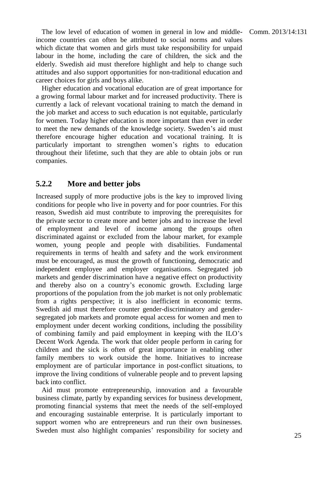The low level of education of women in general in low and middle- Comm. 2013/14:131 income countries can often be attributed to social norms and values which dictate that women and girls must take responsibility for unpaid labour in the home, including the care of children, the sick and the elderly. Swedish aid must therefore highlight and help to change such attitudes and also support opportunities for non-traditional education and career choices for girls and boys alike.

Higher education and vocational education are of great importance for a growing formal labour market and for increased productivity. There is currently a lack of relevant vocational training to match the demand in the job market and access to such education is not equitable, particularly for women. Today higher education is more important than ever in order to meet the new demands of the knowledge society. Sweden's aid must therefore encourage higher education and vocational training. It is particularly important to strengthen women's rights to education throughout their lifetime, such that they are able to obtain jobs or run companies.

#### **5.2.2 More and better jobs**

Increased supply of more productive jobs is the key to improved living conditions for people who live in poverty and for poor countries. For this reason, Swedish aid must contribute to improving the prerequisites for the private sector to create more and better jobs and to increase the level of employment and level of income among the groups often discriminated against or excluded from the labour market, for example women, young people and people with disabilities. Fundamental requirements in terms of health and safety and the work environment must be encouraged, as must the growth of functioning, democratic and independent employee and employer organisations. Segregated job markets and gender discrimination have a negative effect on productivity and thereby also on a country's economic growth. Excluding large proportions of the population from the job market is not only problematic from a rights perspective; it is also inefficient in economic terms. Swedish aid must therefore counter gender-discriminatory and gendersegregated job markets and promote equal access for women and men to employment under decent working conditions, including the possibility of combining family and paid employment in keeping with the ILO's Decent Work Agenda. The work that older people perform in caring for children and the sick is often of great importance in enabling other family members to work outside the home. Initiatives to increase employment are of particular importance in post-conflict situations, to improve the living conditions of vulnerable people and to prevent lapsing back into conflict.

Aid must promote entrepreneurship, innovation and a favourable business climate, partly by expanding services for business development, promoting financial systems that meet the needs of the self-employed and encouraging sustainable enterprise. It is particularly important to support women who are entrepreneurs and run their own businesses. Sweden must also highlight companies' responsibility for society and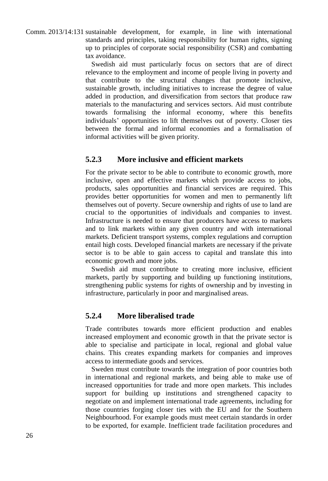Comm. 2013/14:131 sustainable development, for example, in line with international standards and principles, taking responsibility for human rights, signing up to principles of corporate social responsibility (CSR) and combatting tax avoidance.

> Swedish aid must particularly focus on sectors that are of direct relevance to the employment and income of people living in poverty and that contribute to the structural changes that promote inclusive, sustainable growth, including initiatives to increase the degree of value added in production, and diversification from sectors that produce raw materials to the manufacturing and services sectors. Aid must contribute towards formalising the informal economy, where this benefits individuals' opportunities to lift themselves out of poverty. Closer ties between the formal and informal economies and a formalisation of informal activities will be given priority.

#### **5.2.3 More inclusive and efficient markets**

For the private sector to be able to contribute to economic growth, more inclusive, open and effective markets which provide access to jobs, products, sales opportunities and financial services are required. This provides better opportunities for women and men to permanently lift themselves out of poverty. Secure ownership and rights of use to land are crucial to the opportunities of individuals and companies to invest. Infrastructure is needed to ensure that producers have access to markets and to link markets within any given country and with international markets. Deficient transport systems, complex regulations and corruption entail high costs. Developed financial markets are necessary if the private sector is to be able to gain access to capital and translate this into economic growth and more jobs.

Swedish aid must contribute to creating more inclusive, efficient markets, partly by supporting and building up functioning institutions, strengthening public systems for rights of ownership and by investing in infrastructure, particularly in poor and marginalised areas.

#### **5.2.4 More liberalised trade**

Trade contributes towards more efficient production and enables increased employment and economic growth in that the private sector is able to specialise and participate in local, regional and global value chains. This creates expanding markets for companies and improves access to intermediate goods and services.

Sweden must contribute towards the integration of poor countries both in international and regional markets, and being able to make use of increased opportunities for trade and more open markets. This includes support for building up institutions and strengthened capacity to negotiate on and implement international trade agreements, including for those countries forging closer ties with the EU and for the Southern Neighbourhood. For example goods must meet certain standards in order to be exported, for example. Inefficient trade facilitation procedures and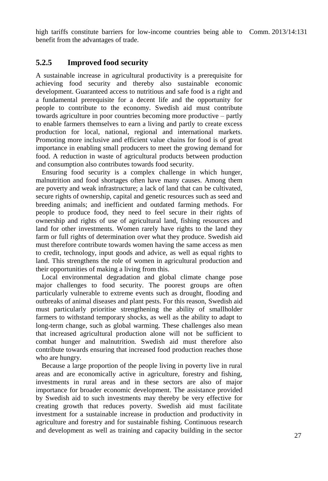high tariffs constitute barriers for low-income countries being able to Comm. 2013/14:131 benefit from the advantages of trade.

#### **5.2.5 Improved food security**

A sustainable increase in agricultural productivity is a prerequisite for achieving food security and thereby also sustainable economic development. Guaranteed access to nutritious and safe food is a right and a fundamental prerequisite for a decent life and the opportunity for people to contribute to the economy. Swedish aid must contribute towards agriculture in poor countries becoming more productive – partly to enable farmers themselves to earn a living and partly to create excess production for local, national, regional and international markets. Promoting more inclusive and efficient value chains for food is of great importance in enabling small producers to meet the growing demand for food. A reduction in waste of agricultural products between production and consumption also contributes towards food security.

Ensuring food security is a complex challenge in which hunger, malnutrition and food shortages often have many causes. Among them are poverty and weak infrastructure; a lack of land that can be cultivated, secure rights of ownership, capital and genetic resources such as seed and breeding animals; and inefficient and outdated farming methods. For people to produce food, they need to feel secure in their rights of ownership and rights of use of agricultural land, fishing resources and land for other investments. Women rarely have rights to the land they farm or full rights of determination over what they produce. Swedish aid must therefore contribute towards women having the same access as men to credit, technology, input goods and advice, as well as equal rights to land. This strengthens the role of women in agricultural production and their opportunities of making a living from this.

Local environmental degradation and global climate change pose major challenges to food security. The poorest groups are often particularly vulnerable to extreme events such as drought, flooding and outbreaks of animal diseases and plant pests. For this reason, Swedish aid must particularly prioritise strengthening the ability of smallholder farmers to withstand temporary shocks, as well as the ability to adapt to long-term change, such as global warming. These challenges also mean that increased agricultural production alone will not be sufficient to combat hunger and malnutrition. Swedish aid must therefore also contribute towards ensuring that increased food production reaches those who are hungry.

Because a large proportion of the people living in poverty live in rural areas and are economically active in agriculture, forestry and fishing, investments in rural areas and in these sectors are also of major importance for broader economic development. The assistance provided by Swedish aid to such investments may thereby be very effective for creating growth that reduces poverty. Swedish aid must facilitate investment for a sustainable increase in production and productivity in agriculture and forestry and for sustainable fishing. Continuous research and development as well as training and capacity building in the sector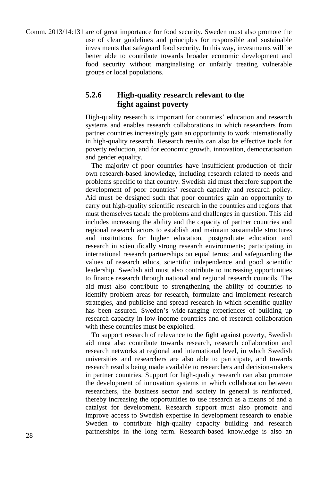Comm. 2013/14:131 are of great importance for food security. Sweden must also promote the use of clear guidelines and principles for responsible and sustainable investments that safeguard food security. In this way, investments will be better able to contribute towards broader economic development and food security without marginalising or unfairly treating vulnerable groups or local populations.

#### **5.2.6 High-quality research relevant to the fight against poverty**

High-quality research is important for countries' education and research systems and enables research collaborations in which researchers from partner countries increasingly gain an opportunity to work internationally in high-quality research. Research results can also be effective tools for poverty reduction, and for economic growth, innovation, democratisation and gender equality.

The majority of poor countries have insufficient production of their own research-based knowledge, including research related to needs and problems specific to that country. Swedish aid must therefore support the development of poor countries' research capacity and research policy. Aid must be designed such that poor countries gain an opportunity to carry out high-quality scientific research in the countries and regions that must themselves tackle the problems and challenges in question. This aid includes increasing the ability and the capacity of partner countries and regional research actors to establish and maintain sustainable structures and institutions for higher education, postgraduate education and research in scientifically strong research environments; participating in international research partnerships on equal terms; and safeguarding the values of research ethics, scientific independence and good scientific leadership. Swedish aid must also contribute to increasing opportunities to finance research through national and regional research councils. The aid must also contribute to strengthening the ability of countries to identify problem areas for research, formulate and implement research strategies, and publicise and spread research in which scientific quality has been assured. Sweden's wide-ranging experiences of building up research capacity in low-income countries and of research collaboration with these countries must be exploited.

To support research of relevance to the fight against poverty, Swedish aid must also contribute towards research, research collaboration and research networks at regional and international level, in which Swedish universities and researchers are also able to participate, and towards research results being made available to researchers and decision-makers in partner countries. Support for high-quality research can also promote the development of innovation systems in which collaboration between researchers, the business sector and society in general is reinforced, thereby increasing the opportunities to use research as a means of and a catalyst for development. Research support must also promote and improve access to Swedish expertise in development research to enable Sweden to contribute high-quality capacity building and research partnerships in the long term. Research-based knowledge is also an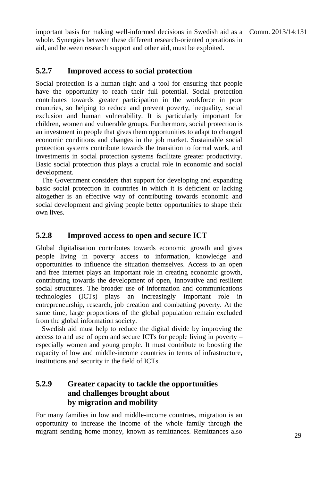important basis for making well-informed decisions in Swedish aid as a Comm. 2013/14:131 whole. Synergies between these different research-oriented operations in aid, and between research support and other aid, must be exploited.

#### **5.2.7 Improved access to social protection**

Social protection is a human right and a tool for ensuring that people have the opportunity to reach their full potential. Social protection contributes towards greater participation in the workforce in poor countries, so helping to reduce and prevent poverty, inequality, social exclusion and human vulnerability. It is particularly important for children, women and vulnerable groups. Furthermore, social protection is an investment in people that gives them opportunities to adapt to changed economic conditions and changes in the job market. Sustainable social protection systems contribute towards the transition to formal work, and investments in social protection systems facilitate greater productivity. Basic social protection thus plays a crucial role in economic and social development.

The Government considers that support for developing and expanding basic social protection in countries in which it is deficient or lacking altogether is an effective way of contributing towards economic and social development and giving people better opportunities to shape their own lives.

#### **5.2.8 Improved access to open and secure ICT**

Global digitalisation contributes towards economic growth and gives people living in poverty access to information, knowledge and opportunities to influence the situation themselves. Access to an open and free internet plays an important role in creating economic growth, contributing towards the development of open, innovative and resilient social structures. The broader use of information and communications technologies (ICTs) plays an increasingly important role entrepreneurship, research, job creation and combatting poverty. At the same time, large proportions of the global population remain excluded from the global information society.

Swedish aid must help to reduce the digital divide by improving the access to and use of open and secure ICTs for people living in poverty – especially women and young people. It must contribute to boosting the capacity of low and middle-income countries in terms of infrastructure, institutions and security in the field of ICTs.

#### **5.2.9 Greater capacity to tackle the opportunities and challenges brought about by migration and mobility**

For many families in low and middle-income countries, migration is an opportunity to increase the income of the whole family through the migrant sending home money, known as remittances. Remittances also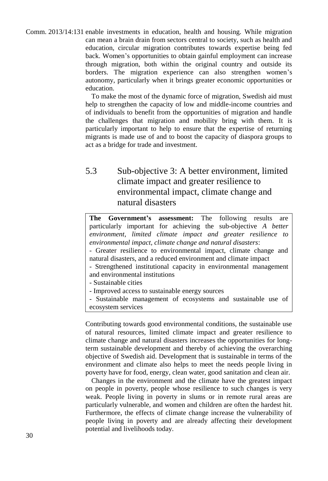Comm. 2013/14:131 enable investments in education, health and housing. While migration can mean a brain drain from sectors central to society, such as health and education, circular migration contributes towards expertise being fed back. Women's opportunities to obtain gainful employment can increase through migration, both within the original country and outside its borders. The migration experience can also strengthen women's autonomy, particularly when it brings greater economic opportunities or education.

> To make the most of the dynamic force of migration, Swedish aid must help to strengthen the capacity of low and middle-income countries and of individuals to benefit from the opportunities of migration and handle the challenges that migration and mobility bring with them. It is particularly important to help to ensure that the expertise of returning migrants is made use of and to boost the capacity of diaspora groups to act as a bridge for trade and investment.

# 5.3 Sub-objective 3: A better environment, limited climate impact and greater resilience to environmental impact, climate change and natural disasters

**The Government's assessment:** The following results are particularly important for achieving the sub-objective *A better environment, limited climate impact and greater resilience to environmental impact, climate change and natural disasters*:

- Greater resilience to environmental impact, climate change and natural disasters, and a reduced environment and climate impact

- Strengthened institutional capacity in environmental management and environmental institutions

- Sustainable cities

- Improved access to sustainable energy sources

- Sustainable management of ecosystems and sustainable use of ecosystem services

Contributing towards good environmental conditions, the sustainable use of natural resources, limited climate impact and greater resilience to climate change and natural disasters increases the opportunities for longterm sustainable development and thereby of achieving the overarching objective of Swedish aid. Development that is sustainable in terms of the environment and climate also helps to meet the needs people living in poverty have for food, energy, clean water, good sanitation and clean air.

Changes in the environment and the climate have the greatest impact on people in poverty, people whose resilience to such changes is very weak. People living in poverty in slums or in remote rural areas are particularly vulnerable, and women and children are often the hardest hit. Furthermore, the effects of climate change increase the vulnerability of people living in poverty and are already affecting their development potential and livelihoods today.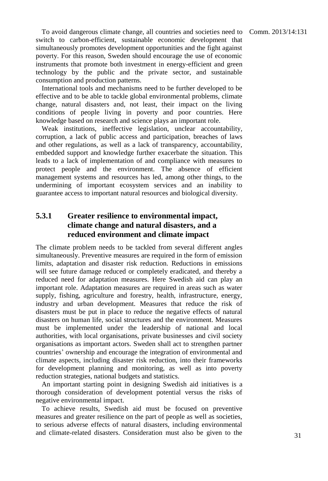To avoid dangerous climate change, all countries and societies need to Comm. 2013/14:131 switch to carbon-efficient, sustainable economic development that simultaneously promotes development opportunities and the fight against poverty. For this reason, Sweden should encourage the use of economic instruments that promote both investment in energy-efficient and green technology by the public and the private sector, and sustainable consumption and production patterns.

International tools and mechanisms need to be further developed to be effective and to be able to tackle global environmental problems, climate change, natural disasters and, not least, their impact on the living conditions of people living in poverty and poor countries. Here knowledge based on research and science plays an important role.

Weak institutions, ineffective legislation, unclear accountability, corruption, a lack of public access and participation, breaches of laws and other regulations, as well as a lack of transparency, accountability, embedded support and knowledge further exacerbate the situation. This leads to a lack of implementation of and compliance with measures to protect people and the environment. The absence of efficient management systems and resources has led, among other things, to the undermining of important ecosystem services and an inability to guarantee access to important natural resources and biological diversity.

#### **5.3.1 Greater resilience to environmental impact, climate change and natural disasters, and a reduced environment and climate impact**

The climate problem needs to be tackled from several different angles simultaneously. Preventive measures are required in the form of emission limits, adaptation and disaster risk reduction. Reductions in emissions will see future damage reduced or completely eradicated, and thereby a reduced need for adaptation measures. Here Swedish aid can play an important role. Adaptation measures are required in areas such as water supply, fishing, agriculture and forestry, health, infrastructure, energy, industry and urban development. Measures that reduce the risk of disasters must be put in place to reduce the negative effects of natural disasters on human life, social structures and the environment. Measures must be implemented under the leadership of national and local authorities, with local organisations, private businesses and civil society organisations as important actors. Sweden shall act to strengthen partner countries' ownership and encourage the integration of environmental and climate aspects, including disaster risk reduction, into their frameworks for development planning and monitoring, as well as into poverty reduction strategies, national budgets and statistics.

An important starting point in designing Swedish aid initiatives is a thorough consideration of development potential versus the risks of negative environmental impact.

To achieve results, Swedish aid must be focused on preventive measures and greater resilience on the part of people as well as societies, to serious adverse effects of natural disasters, including environmental and climate-related disasters. Consideration must also be given to the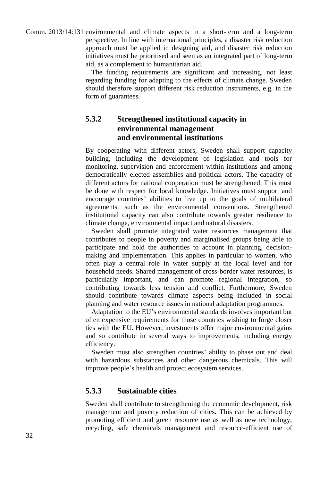Comm. 2013/14:131 environmental and climate aspects in a short-term and a long-term perspective. In line with international principles, a disaster risk reduction approach must be applied in designing aid, and disaster risk reduction initiatives must be prioritised and seen as an integrated part of long-term aid, as a complement to humanitarian aid.

> The funding requirements are significant and increasing, not least regarding funding for adapting to the effects of climate change. Sweden should therefore support different risk reduction instruments, e.g. in the form of guarantees.

#### **5.3.2 Strengthened institutional capacity in environmental management and environmental institutions**

By cooperating with different actors, Sweden shall support capacity building, including the development of legislation and tools for monitoring, supervision and enforcement within institutions and among democratically elected assemblies and political actors. The capacity of different actors for national cooperation must be strengthened. This must be done with respect for local knowledge. Initiatives must support and encourage countries' abilities to live up to the goals of multilateral agreements, such as the environmental conventions. Strengthened institutional capacity can also contribute towards greater resilience to climate change, environmental impact and natural disasters.

Sweden shall promote integrated water resources management that contributes to people in poverty and marginalised groups being able to participate and hold the authorities to account in planning, decisionmaking and implementation. This applies in particular to women, who often play a central role in water supply at the local level and for household needs. Shared management of cross-border water resources, is particularly important, and can promote regional integration, so contributing towards less tension and conflict. Furthermore, Sweden should contribute towards climate aspects being included in social planning and water resource issues in national adaptation programmes.

Adaptation to the EU's environmental standards involves important but often expensive requirements for those countries wishing to forge closer ties with the EU. However, investments offer major environmental gains and so contribute in several ways to improvements, including energy efficiency.

Sweden must also strengthen countries' ability to phase out and deal with hazardous substances and other dangerous chemicals. This will improve people's health and protect ecosystem services.

#### **5.3.3 Sustainable cities**

Sweden shall contribute to strengthening the economic development, risk management and poverty reduction of cities. This can be achieved by promoting efficient and green resource use as well as new technology, recycling, safe chemicals management and resource-efficient use of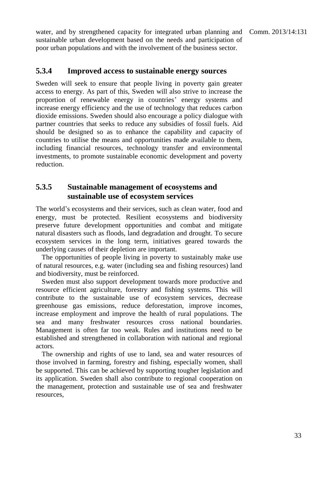water, and by strengthened capacity for integrated urban planning and Comm. 2013/14:131 sustainable urban development based on the needs and participation of poor urban populations and with the involvement of the business sector.

#### **5.3.4 Improved access to sustainable energy sources**

Sweden will seek to ensure that people living in poverty gain greater access to energy. As part of this, Sweden will also strive to increase the proportion of renewable energy in countries' energy systems and increase energy efficiency and the use of technology that reduces carbon dioxide emissions. Sweden should also encourage a policy dialogue with partner countries that seeks to reduce any subsidies of fossil fuels. Aid should be designed so as to enhance the capability and capacity of countries to utilise the means and opportunities made available to them, including financial resources, technology transfer and environmental investments, to promote sustainable economic development and poverty reduction.

#### **5.3.5 Sustainable management of ecosystems and sustainable use of ecosystem services**

The world's ecosystems and their services, such as clean water, food and energy, must be protected. Resilient ecosystems and biodiversity preserve future development opportunities and combat and mitigate natural disasters such as floods, land degradation and drought. To secure ecosystem services in the long term, initiatives geared towards the underlying causes of their depletion are important.

The opportunities of people living in poverty to sustainably make use of natural resources, e.g. water (including sea and fishing resources) land and biodiversity, must be reinforced.

Sweden must also support development towards more productive and resource efficient agriculture, forestry and fishing systems. This will contribute to the sustainable use of ecosystem services, decrease greenhouse gas emissions, reduce deforestation, improve incomes, increase employment and improve the health of rural populations. The sea and many freshwater resources cross national boundaries. Management is often far too weak. Rules and institutions need to be established and strengthened in collaboration with national and regional actors.

The ownership and rights of use to land, sea and water resources of those involved in farming, forestry and fishing, especially women, shall be supported. This can be achieved by supporting tougher legislation and its application. Sweden shall also contribute to regional cooperation on the management, protection and sustainable use of sea and freshwater resources,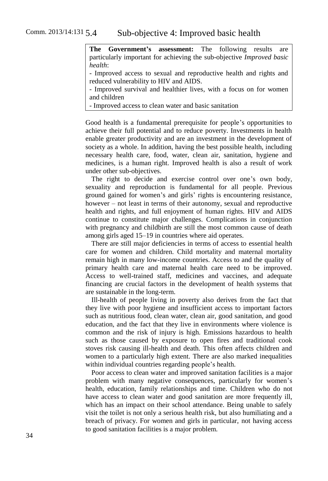**The Government's assessment:** The following results are particularly important for achieving the sub-objective *Improved basic health*:

- Improved access to sexual and reproductive health and rights and reduced vulnerability to HIV and AIDS.

- Improved survival and healthier lives, with a focus on for women and children

- Improved access to clean water and basic sanitation

Good health is a fundamental prerequisite for people's opportunities to achieve their full potential and to reduce poverty. Investments in health enable greater productivity and are an investment in the development of society as a whole. In addition, having the best possible health, including necessary health care, food, water, clean air, sanitation, hygiene and medicines, is a human right. Improved health is also a result of work under other sub-objectives.

The right to decide and exercise control over one's own body, sexuality and reproduction is fundamental for all people. Previous ground gained for women's and girls' rights is encountering resistance, however – not least in terms of their autonomy, sexual and reproductive health and rights, and full enjoyment of human rights. HIV and AIDS continue to constitute major challenges. Complications in conjunction with pregnancy and childbirth are still the most common cause of death among girls aged 15–19 in countries where aid operates.

There are still major deficiencies in terms of access to essential health care for women and children. Child mortality and maternal mortality remain high in many low-income countries. Access to and the quality of primary health care and maternal health care need to be improved. Access to well-trained staff, medicines and vaccines, and adequate financing are crucial factors in the development of health systems that are sustainable in the long-term.

Ill-health of people living in poverty also derives from the fact that they live with poor hygiene and insufficient access to important factors such as nutritious food, clean water, clean air, good sanitation, and good education, and the fact that they live in environments where violence is common and the risk of injury is high. Emissions hazardous to health such as those caused by exposure to open fires and traditional cook stoves risk causing ill-health and death. This often affects children and women to a particularly high extent. There are also marked inequalities within individual countries regarding people's health.

Poor access to clean water and improved sanitation facilities is a major problem with many negative consequences, particularly for women's health, education, family relationships and time. Children who do not have access to clean water and good sanitation are more frequently ill, which has an impact on their school attendance. Being unable to safely visit the toilet is not only a serious health risk, but also humiliating and a breach of privacy. For women and girls in particular, not having access to good sanitation facilities is a major problem.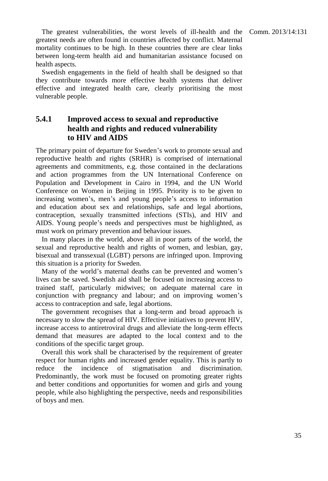The greatest vulnerabilities, the worst levels of ill-health and the Comm. 2013/14:131 greatest needs are often found in countries affected by conflict. Maternal mortality continues to be high. In these countries there are clear links between long-term health aid and humanitarian assistance focused on health aspects.

Swedish engagements in the field of health shall be designed so that they contribute towards more effective health systems that deliver effective and integrated health care, clearly prioritising the most vulnerable people.

#### **5.4.1 Improved access to sexual and reproductive health and rights and reduced vulnerability to HIV and AIDS**

The primary point of departure for Sweden's work to promote sexual and reproductive health and rights (SRHR) is comprised of international agreements and commitments, e.g. those contained in the declarations and action programmes from the UN International Conference on Population and Development in Cairo in 1994, and the UN World Conference on Women in Beijing in 1995. Priority is to be given to increasing women's, men's and young people's access to information and education about sex and relationships, safe and legal abortions, contraception, sexually transmitted infections (STIs), and HIV and AIDS. Young people's needs and perspectives must be highlighted, as must work on primary prevention and behaviour issues.

In many places in the world, above all in poor parts of the world, the sexual and reproductive health and rights of women, and lesbian, gay, bisexual and transsexual (LGBT) persons are infringed upon. Improving this situation is a priority for Sweden.

Many of the world's maternal deaths can be prevented and women's lives can be saved. Swedish aid shall be focused on increasing access to trained staff, particularly midwives; on adequate maternal care in conjunction with pregnancy and labour; and on improving women's access to contraception and safe, legal abortions.

The government recognises that a long-term and broad approach is necessary to slow the spread of HIV. Effective initiatives to prevent HIV, increase access to antiretroviral drugs and alleviate the long-term effects demand that measures are adapted to the local context and to the conditions of the specific target group.

Overall this work shall be characterised by the requirement of greater respect for human rights and increased gender equality. This is partly to reduce the incidence of stigmatisation and discrimination. Predominantly, the work must be focused on promoting greater rights and better conditions and opportunities for women and girls and young people, while also highlighting the perspective, needs and responsibilities of boys and men.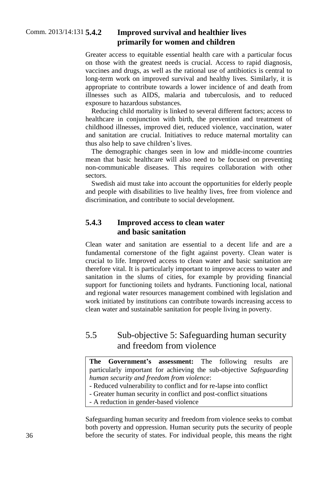#### **5.4.2 Improved survival and healthier lives primarily for women and children**

Greater access to equitable essential health care with a particular focus on those with the greatest needs is crucial. Access to rapid diagnosis, vaccines and drugs, as well as the rational use of antibiotics is central to long-term work on improved survival and healthy lives. Similarly, it is appropriate to contribute towards a lower incidence of and death from illnesses such as AIDS, malaria and tuberculosis, and to reduced exposure to hazardous substances.

Reducing child mortality is linked to several different factors; access to healthcare in conjunction with birth, the prevention and treatment of childhood illnesses, improved diet, reduced violence, vaccination, water and sanitation are crucial. Initiatives to reduce maternal mortality can thus also help to save children's lives.

The demographic changes seen in low and middle-income countries mean that basic healthcare will also need to be focused on preventing non-communicable diseases. This requires collaboration with other sectors.

Swedish aid must take into account the opportunities for elderly people and people with disabilities to live healthy lives, free from violence and discrimination, and contribute to social development.

#### **5.4.3 Improved access to clean water and basic sanitation**

Clean water and sanitation are essential to a decent life and are a fundamental cornerstone of the fight against poverty. Clean water is crucial to life. Improved access to clean water and basic sanitation are therefore vital. It is particularly important to improve access to water and sanitation in the slums of cities, for example by providing financial support for functioning toilets and hydrants. Functioning local, national and regional water resources management combined with legislation and work initiated by institutions can contribute towards increasing access to clean water and sustainable sanitation for people living in poverty.

# 5.5 Sub-objective 5: Safeguarding human security and freedom from violence

**The Government's assessment:** The following results are particularly important for achieving the sub-objective *Safeguarding human security and freedom from violence*:

- Reduced vulnerability to conflict and for re-lapse into conflict

- Greater human security in conflict and post-conflict situations

- A reduction in gender-based violence

Safeguarding human security and freedom from violence seeks to combat both poverty and oppression. Human security puts the security of people before the security of states. For individual people, this means the right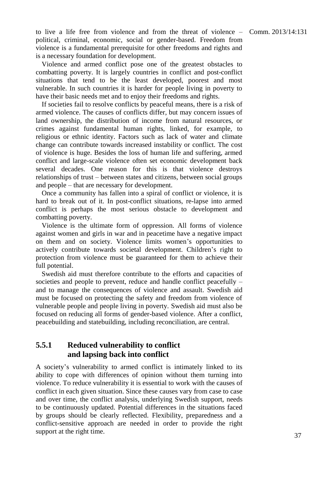to live a life free from violence and from the threat of violence  $-$  Comm. 2013/14:131 political, criminal, economic, social or gender-based. Freedom from violence is a fundamental prerequisite for other freedoms and rights and

Violence and armed conflict pose one of the greatest obstacles to combatting poverty. It is largely countries in conflict and post-conflict situations that tend to be the least developed, poorest and most vulnerable. In such countries it is harder for people living in poverty to have their basic needs met and to enjoy their freedoms and rights.

is a necessary foundation for development.

If societies fail to resolve conflicts by peaceful means, there is a risk of armed violence. The causes of conflicts differ, but may concern issues of land ownership, the distribution of income from natural resources, or crimes against fundamental human rights, linked, for example, to religious or ethnic identity. Factors such as lack of water and climate change can contribute towards increased instability or conflict. The cost of violence is huge. Besides the loss of human life and suffering, armed conflict and large-scale violence often set economic development back several decades. One reason for this is that violence destroys relationships of trust – between states and citizens, between social groups and people – that are necessary for development.

Once a community has fallen into a spiral of conflict or violence, it is hard to break out of it. In post-conflict situations, re-lapse into armed conflict is perhaps the most serious obstacle to development and combatting poverty.

Violence is the ultimate form of oppression. All forms of violence against women and girls in war and in peacetime have a negative impact on them and on society. Violence limits women's opportunities to actively contribute towards societal development. Children's right to protection from violence must be guaranteed for them to achieve their full potential.

Swedish aid must therefore contribute to the efforts and capacities of societies and people to prevent, reduce and handle conflict peacefully – and to manage the consequences of violence and assault. Swedish aid must be focused on protecting the safety and freedom from violence of vulnerable people and people living in poverty. Swedish aid must also be focused on reducing all forms of gender-based violence. After a conflict, peacebuilding and statebuilding, including reconciliation, are central.

#### **5.5.1 Reduced vulnerability to conflict and lapsing back into conflict**

A society's vulnerability to armed conflict is intimately linked to its ability to cope with differences of opinion without them turning into violence. To reduce vulnerability it is essential to work with the causes of conflict in each given situation. Since these causes vary from case to case and over time, the conflict analysis, underlying Swedish support, needs to be continuously updated. Potential differences in the situations faced by groups should be clearly reflected. Flexibility, preparedness and a conflict-sensitive approach are needed in order to provide the right support at the right time.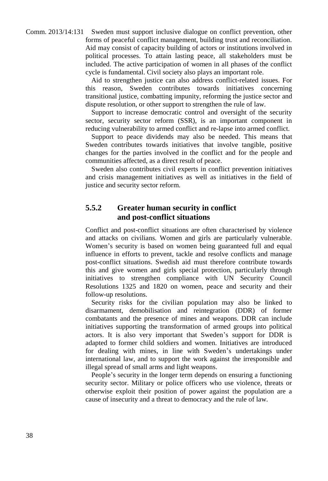Comm. 2013/14:131 Sweden must support inclusive dialogue on conflict prevention, other forms of peaceful conflict management, building trust and reconciliation. Aid may consist of capacity building of actors or institutions involved in political processes. To attain lasting peace, all stakeholders must be included. The active participation of women in all phases of the conflict cycle is fundamental. Civil society also plays an important role.

> Aid to strengthen justice can also address conflict-related issues. For this reason, Sweden contributes towards initiatives concerning transitional justice, combatting impunity, reforming the justice sector and dispute resolution, or other support to strengthen the rule of law.

> Support to increase democratic control and oversight of the security sector, security sector reform (SSR), is an important component in reducing vulnerability to armed conflict and re-lapse into armed conflict.

> Support to peace dividends may also be needed. This means that Sweden contributes towards initiatives that involve tangible, positive changes for the parties involved in the conflict and for the people and communities affected, as a direct result of peace.

> Sweden also contributes civil experts in conflict prevention initiatives and crisis management initiatives as well as initiatives in the field of justice and security sector reform.

#### **5.5.2 Greater human security in conflict and post-conflict situations**

Conflict and post-conflict situations are often characterised by violence and attacks on civilians. Women and girls are particularly vulnerable. Women's security is based on women being guaranteed full and equal influence in efforts to prevent, tackle and resolve conflicts and manage post-conflict situations. Swedish aid must therefore contribute towards this and give women and girls special protection, particularly through initiatives to strengthen compliance with UN Security Council Resolutions 1325 and 1820 on women, peace and security and their follow-up resolutions.

Security risks for the civilian population may also be linked to disarmament, demobilisation and reintegration (DDR) of former combatants and the presence of mines and weapons. DDR can include initiatives supporting the transformation of armed groups into political actors. It is also very important that Sweden's support for DDR is adapted to former child soldiers and women. Initiatives are introduced for dealing with mines, in line with Sweden's undertakings under international law, and to support the work against the irresponsible and illegal spread of small arms and light weapons.

People's security in the longer term depends on ensuring a functioning security sector. Military or police officers who use violence, threats or otherwise exploit their position of power against the population are a cause of insecurity and a threat to democracy and the rule of law.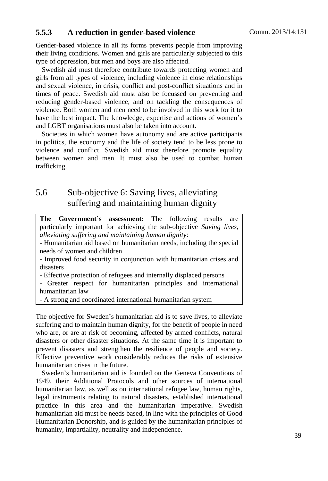#### **5.5.3 A reduction in gender-based violence**

Gender-based violence in all its forms prevents people from improving their living conditions. Women and girls are particularly subjected to this type of oppression, but men and boys are also affected.

Swedish aid must therefore contribute towards protecting women and girls from all types of violence, including violence in close relationships and sexual violence, in crisis, conflict and post-conflict situations and in times of peace. Swedish aid must also be focussed on preventing and reducing gender-based violence, and on tackling the consequences of violence. Both women and men need to be involved in this work for it to have the best impact. The knowledge, expertise and actions of women's and LGBT organisations must also be taken into account.

Societies in which women have autonomy and are active participants in politics, the economy and the life of society tend to be less prone to violence and conflict. Swedish aid must therefore promote equality between women and men. It must also be used to combat human trafficking.

# 5.6 Sub-objective 6: Saving lives, alleviating suffering and maintaining human dignity

**The Government's assessment:** The following results are particularly important for achieving the sub-objective *Saving lives, alleviating suffering and maintaining human dignity*:

- Humanitarian aid based on humanitarian needs, including the special needs of women and children

- Improved food security in conjunction with humanitarian crises and disasters

- Effective protection of refugees and internally displaced persons

- Greater respect for humanitarian principles and international humanitarian law

- A strong and coordinated international humanitarian system

The objective for Sweden's humanitarian aid is to save lives, to alleviate suffering and to maintain human dignity, for the benefit of people in need who are, or are at risk of becoming, affected by armed conflicts, natural disasters or other disaster situations. At the same time it is important to prevent disasters and strengthen the resilience of people and society. Effective preventive work considerably reduces the risks of extensive humanitarian crises in the future.

Sweden's humanitarian aid is founded on the Geneva Conventions of 1949, their Additional Protocols and other sources of international humanitarian law, as well as on international refugee law, human rights, legal instruments relating to natural disasters, established international practice in this area and the humanitarian imperative. Swedish humanitarian aid must be needs based, in line with the principles of Good Humanitarian Donorship, and is guided by the humanitarian principles of humanity, impartiality, neutrality and independence.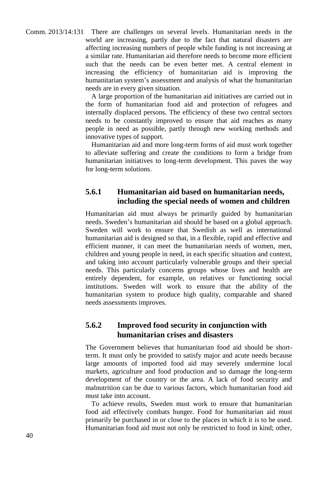Comm. 2013/14:131 There are challenges on several levels. Humanitarian needs in the world are increasing, partly due to the fact that natural disasters are affecting increasing numbers of people while funding is not increasing at a similar rate. Humanitarian aid therefore needs to become more efficient such that the needs can be even better met. A central element in increasing the efficiency of humanitarian aid is improving the humanitarian system's assessment and analysis of what the humanitarian needs are in every given situation.

> A large proportion of the humanitarian aid initiatives are carried out in the form of humanitarian food aid and protection of refugees and internally displaced persons. The efficiency of these two central sectors needs to be constantly improved to ensure that aid reaches as many people in need as possible, partly through new working methods and innovative types of support.

> Humanitarian aid and more long-term forms of aid must work together to alleviate suffering and create the conditions to form a bridge from humanitarian initiatives to long-term development. This paves the way for long-term solutions.

#### **5.6.1 Humanitarian aid based on humanitarian needs, including the special needs of women and children**

Humanitarian aid must always be primarily guided by humanitarian needs. Sweden's humanitarian aid should be based on a global approach. Sweden will work to ensure that Swedish as well as international humanitarian aid is designed so that, in a flexible, rapid and effective and efficient manner, it can meet the humanitarian needs of women, men, children and young people in need, in each specific situation and context, and taking into account particularly vulnerable groups and their special needs. This particularly concerns groups whose lives and health are entirely dependent, for example, on relatives or functioning social institutions. Sweden will work to ensure that the ability of the humanitarian system to produce high quality, comparable and shared needs assessments improves.

#### **5.6.2 Improved food security in conjunction with humanitarian crises and disasters**

The Government believes that humanitarian food aid should be shortterm. It must only be provided to satisfy major and acute needs because large amounts of imported food aid may severely undermine local markets, agriculture and food production and so damage the long-term development of the country or the area. A lack of food security and malnutrition can be due to various factors, which humanitarian food aid must take into account.

To achieve results, Sweden must work to ensure that humanitarian food aid effectively combats hunger. Food for humanitarian aid must primarily be purchased in or close to the places in which it is to be used. Humanitarian food aid must not only be restricted to food in kind; other,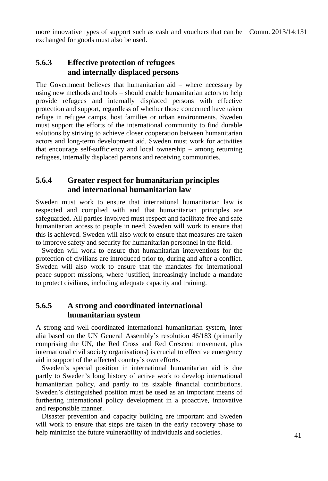more innovative types of support such as cash and vouchers that can be Comm. 2013/14:131 exchanged for goods must also be used.

#### **5.6.3 Effective protection of refugees and internally displaced persons**

The Government believes that humanitarian aid – where necessary by using new methods and tools – should enable humanitarian actors to help provide refugees and internally displaced persons with effective protection and support, regardless of whether those concerned have taken refuge in refugee camps, host families or urban environments. Sweden must support the efforts of the international community to find durable solutions by striving to achieve closer cooperation between humanitarian actors and long-term development aid. Sweden must work for activities that encourage self-sufficiency and local ownership – among returning refugees, internally displaced persons and receiving communities.

#### **5.6.4 Greater respect for humanitarian principles and international humanitarian law**

Sweden must work to ensure that international humanitarian law is respected and complied with and that humanitarian principles are safeguarded. All parties involved must respect and facilitate free and safe humanitarian access to people in need. Sweden will work to ensure that this is achieved. Sweden will also work to ensure that measures are taken to improve safety and security for humanitarian personnel in the field.

Sweden will work to ensure that humanitarian interventions for the protection of civilians are introduced prior to, during and after a conflict. Sweden will also work to ensure that the mandates for international peace support missions, where justified, increasingly include a mandate to protect civilians, including adequate capacity and training.

#### **5.6.5 A strong and coordinated international humanitarian system**

A strong and well-coordinated international humanitarian system, inter alia based on the UN General Assembly's resolution 46/183 (primarily comprising the UN, the Red Cross and Red Crescent movement, plus international civil society organisations) is crucial to effective emergency aid in support of the affected country's own efforts.

Sweden's special position in international humanitarian aid is due partly to Sweden's long history of active work to develop international humanitarian policy, and partly to its sizable financial contributions. Sweden's distinguished position must be used as an important means of furthering international policy development in a proactive, innovative and responsible manner.

Disaster prevention and capacity building are important and Sweden will work to ensure that steps are taken in the early recovery phase to help minimise the future vulnerability of individuals and societies.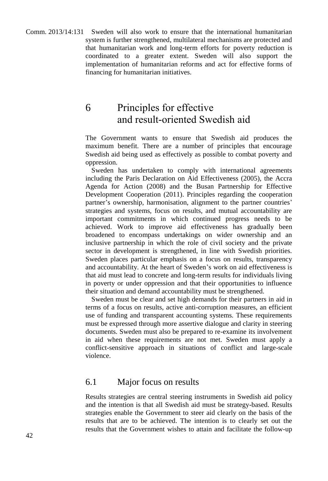Comm. 2013/14:131 Sweden will also work to ensure that the international humanitarian system is further strengthened, multilateral mechanisms are protected and that humanitarian work and long-term efforts for poverty reduction is coordinated to a greater extent. Sweden will also support the implementation of humanitarian reforms and act for effective forms of financing for humanitarian initiatives.

# 6 Principles for effective and result-oriented Swedish aid

The Government wants to ensure that Swedish aid produces the maximum benefit. There are a number of principles that encourage Swedish aid being used as effectively as possible to combat poverty and oppression.

Sweden has undertaken to comply with international agreements including the Paris Declaration on Aid Effectiveness (2005), the Accra Agenda for Action (2008) and the Busan Partnership for Effective Development Cooperation (2011). Principles regarding the cooperation partner's ownership, harmonisation, alignment to the partner countries' strategies and systems, focus on results, and mutual accountability are important commitments in which continued progress needs to be achieved. Work to improve aid effectiveness has gradually been broadened to encompass undertakings on wider ownership and an inclusive partnership in which the role of civil society and the private sector in development is strengthened, in line with Swedish priorities. Sweden places particular emphasis on a focus on results, transparency and accountability. At the heart of Sweden's work on aid effectiveness is that aid must lead to concrete and long-term results for individuals living in poverty or under oppression and that their opportunities to influence their situation and demand accountability must be strengthened.

Sweden must be clear and set high demands for their partners in aid in terms of a focus on results, active anti-corruption measures, an efficient use of funding and transparent accounting systems. These requirements must be expressed through more assertive dialogue and clarity in steering documents. Sweden must also be prepared to re-examine its involvement in aid when these requirements are not met. Sweden must apply a conflict-sensitive approach in situations of conflict and large-scale violence.

#### 6.1 Major focus on results

Results strategies are central steering instruments in Swedish aid policy and the intention is that all Swedish aid must be strategy-based. Results strategies enable the Government to steer aid clearly on the basis of the results that are to be achieved. The intention is to clearly set out the results that the Government wishes to attain and facilitate the follow-up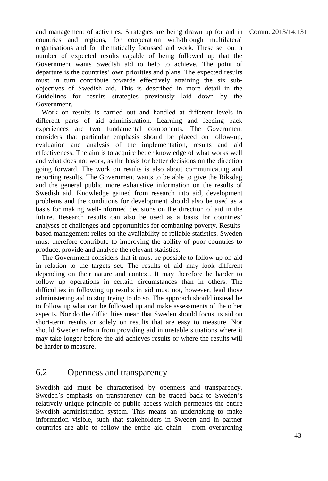and management of activities. Strategies are being drawn up for aid in Comm. 2013/14:131 countries and regions, for cooperation with/through multilateral organisations and for thematically focussed aid work. These set out a number of expected results capable of being followed up that the Government wants Swedish aid to help to achieve. The point of departure is the countries' own priorities and plans. The expected results must in turn contribute towards effectively attaining the six subobjectives of Swedish aid. This is described in more detail in the Guidelines for results strategies previously laid down by the Government.

Work on results is carried out and handled at different levels in different parts of aid administration. Learning and feeding back experiences are two fundamental components. The Government considers that particular emphasis should be placed on follow-up, evaluation and analysis of the implementation, results and aid effectiveness. The aim is to acquire better knowledge of what works well and what does not work, as the basis for better decisions on the direction going forward. The work on results is also about communicating and reporting results. The Government wants to be able to give the Riksdag and the general public more exhaustive information on the results of Swedish aid. Knowledge gained from research into aid, development problems and the conditions for development should also be used as a basis for making well-informed decisions on the direction of aid in the future. Research results can also be used as a basis for countries' analyses of challenges and opportunities for combatting poverty. Resultsbased management relies on the availability of reliable statistics. Sweden must therefore contribute to improving the ability of poor countries to produce, provide and analyse the relevant statistics.

The Government considers that it must be possible to follow up on aid in relation to the targets set. The results of aid may look different depending on their nature and context. It may therefore be harder to follow up operations in certain circumstances than in others. The difficulties in following up results in aid must not, however, lead those administering aid to stop trying to do so. The approach should instead be to follow up what can be followed up and make assessments of the other aspects. Nor do the difficulties mean that Sweden should focus its aid on short-term results or solely on results that are easy to measure. Nor should Sweden refrain from providing aid in unstable situations where it may take longer before the aid achieves results or where the results will be harder to measure.

### 6.2 Openness and transparency

Swedish aid must be characterised by openness and transparency. Sweden's emphasis on transparency can be traced back to Sweden's relatively unique principle of public access which permeates the entire Swedish administration system. This means an undertaking to make information visible, such that stakeholders in Sweden and in partner countries are able to follow the entire aid chain – from overarching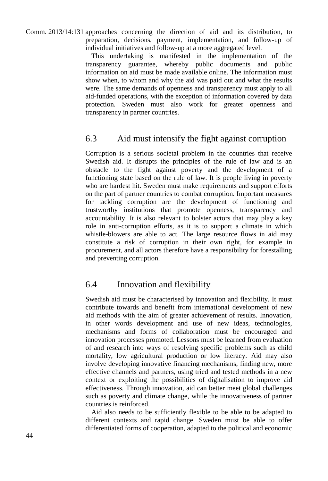Comm. 2013/14:131 approaches concerning the direction of aid and its distribution, to preparation, decisions, payment, implementation, and follow-up of individual initiatives and follow-up at a more aggregated level.

> This undertaking is manifested in the implementation of the transparency guarantee, whereby public documents and public information on aid must be made available online. The information must show when, to whom and why the aid was paid out and what the results were. The same demands of openness and transparency must apply to all aid-funded operations, with the exception of information covered by data protection. Sweden must also work for greater openness and transparency in partner countries.

#### 6.3 Aid must intensify the fight against corruption

Corruption is a serious societal problem in the countries that receive Swedish aid. It disrupts the principles of the rule of law and is an obstacle to the fight against poverty and the development of a functioning state based on the rule of law. It is people living in poverty who are hardest hit. Sweden must make requirements and support efforts on the part of partner countries to combat corruption. Important measures for tackling corruption are the development of functioning and trustworthy institutions that promote openness, transparency and accountability. It is also relevant to bolster actors that may play a key role in anti-corruption efforts, as it is to support a climate in which whistle-blowers are able to act. The large resource flows in aid may constitute a risk of corruption in their own right, for example in procurement, and all actors therefore have a responsibility for forestalling and preventing corruption.

#### 6.4 Innovation and flexibility

Swedish aid must be characterised by innovation and flexibility. It must contribute towards and benefit from international development of new aid methods with the aim of greater achievement of results. Innovation, in other words development and use of new ideas, technologies, mechanisms and forms of collaboration must be encouraged and innovation processes promoted. Lessons must be learned from evaluation of and research into ways of resolving specific problems such as child mortality, low agricultural production or low literacy. Aid may also involve developing innovative financing mechanisms, finding new, more effective channels and partners, using tried and tested methods in a new context or exploiting the possibilities of digitalisation to improve aid effectiveness. Through innovation, aid can better meet global challenges such as poverty and climate change, while the innovativeness of partner countries is reinforced.

Aid also needs to be sufficiently flexible to be able to be adapted to different contexts and rapid change. Sweden must be able to offer differentiated forms of cooperation, adapted to the political and economic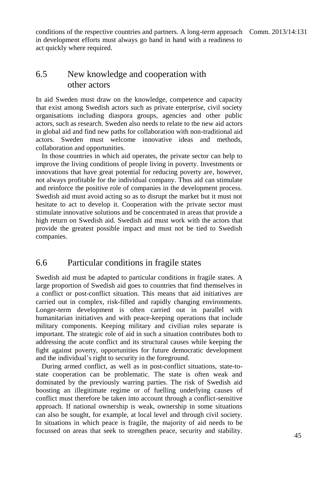conditions of the respective countries and partners. A long-term approach Comm. 2013/14:131 in development efforts must always go hand in hand with a readiness to act quickly where required.

#### 6.5 New knowledge and cooperation with other actors

In aid Sweden must draw on the knowledge, competence and capacity that exist among Swedish actors such as private enterprise, civil society organisations including diaspora groups, agencies and other public actors, such as research. Sweden also needs to relate to the new aid actors in global aid and find new paths for collaboration with non-traditional aid actors. Sweden must welcome innovative ideas and methods, collaboration and opportunities.

In those countries in which aid operates, the private sector can help to improve the living conditions of people living in poverty. Investments or innovations that have great potential for reducing poverty are, however, not always profitable for the individual company. Thus aid can stimulate and reinforce the positive role of companies in the development process. Swedish aid must avoid acting so as to disrupt the market but it must not hesitate to act to develop it. Cooperation with the private sector must stimulate innovative solutions and be concentrated in areas that provide a high return on Swedish aid. Swedish aid must work with the actors that provide the greatest possible impact and must not be tied to Swedish companies.

#### 6.6 Particular conditions in fragile states

Swedish aid must be adapted to particular conditions in fragile states. A large proportion of Swedish aid goes to countries that find themselves in a conflict or post-conflict situation. This means that aid initiatives are carried out in complex, risk-filled and rapidly changing environments. Longer-term development is often carried out in parallel with humanitarian initiatives and with peace-keeping operations that include military components. Keeping military and civilian roles separate is important. The strategic role of aid in such a situation contributes both to addressing the acute conflict and its structural causes while keeping the fight against poverty, opportunities for future democratic development and the individual's right to security in the foreground.

During armed conflict, as well as in post-conflict situations, state-tostate cooperation can be problematic. The state is often weak and dominated by the previously warring parties. The risk of Swedish aid boosting an illegitimate regime or of fuelling underlying causes of conflict must therefore be taken into account through a conflict-sensitive approach. If national ownership is weak, ownership in some situations can also be sought, for example, at local level and through civil society. In situations in which peace is fragile, the majority of aid needs to be focussed on areas that seek to strengthen peace, security and stability.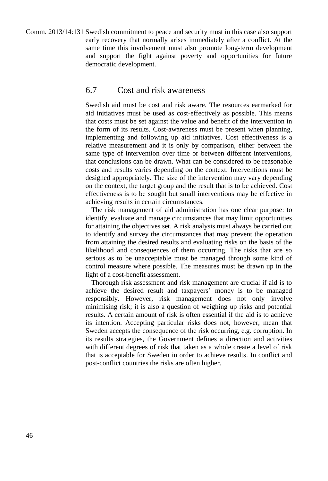Comm. 2013/14:131 Swedish commitment to peace and security must in this case also support early recovery that normally arises immediately after a conflict. At the same time this involvement must also promote long-term development and support the fight against poverty and opportunities for future democratic development.

#### 6.7 Cost and risk awareness

Swedish aid must be cost and risk aware. The resources earmarked for aid initiatives must be used as cost-effectively as possible. This means that costs must be set against the value and benefit of the intervention in the form of its results. Cost-awareness must be present when planning, implementing and following up aid initiatives. Cost effectiveness is a relative measurement and it is only by comparison, either between the same type of intervention over time or between different interventions, that conclusions can be drawn. What can be considered to be reasonable costs and results varies depending on the context. Interventions must be designed appropriately. The size of the intervention may vary depending on the context, the target group and the result that is to be achieved. Cost effectiveness is to be sought but small interventions may be effective in achieving results in certain circumstances.

The risk management of aid administration has one clear purpose: to identify, evaluate and manage circumstances that may limit opportunities for attaining the objectives set. A risk analysis must always be carried out to identify and survey the circumstances that may prevent the operation from attaining the desired results and evaluating risks on the basis of the likelihood and consequences of them occurring. The risks that are so serious as to be unacceptable must be managed through some kind of control measure where possible. The measures must be drawn up in the light of a cost-benefit assessment.

Thorough risk assessment and risk management are crucial if aid is to achieve the desired result and taxpayers' money is to be managed responsibly. However, risk management does not only involve minimising risk; it is also a question of weighing up risks and potential results. A certain amount of risk is often essential if the aid is to achieve its intention. Accepting particular risks does not, however, mean that Sweden accepts the consequence of the risk occurring, e.g. corruption. In its results strategies, the Government defines a direction and activities with different degrees of risk that taken as a whole create a level of risk that is acceptable for Sweden in order to achieve results. In conflict and post-conflict countries the risks are often higher.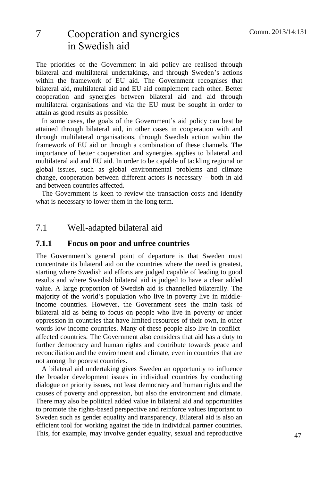# 7 Cooperation and synergies in Swedish aid

The priorities of the Government in aid policy are realised through bilateral and multilateral undertakings, and through Sweden's actions within the framework of EU aid. The Government recognises that bilateral aid, multilateral aid and EU aid complement each other. Better cooperation and synergies between bilateral aid and aid through multilateral organisations and via the EU must be sought in order to attain as good results as possible.

In some cases, the goals of the Government's aid policy can best be attained through bilateral aid, in other cases in cooperation with and through multilateral organisations, through Swedish action within the framework of EU aid or through a combination of these channels. The importance of better cooperation and synergies applies to bilateral and multilateral aid and EU aid. In order to be capable of tackling regional or global issues, such as global environmental problems and climate change, cooperation between different actors is necessary – both in aid and between countries affected.

The Government is keen to review the transaction costs and identify what is necessary to lower them in the long term.

### 7.1 Well-adapted bilateral aid

#### **7.1.1 Focus on poor and unfree countries**

The Government's general point of departure is that Sweden must concentrate its bilateral aid on the countries where the need is greatest, starting where Swedish aid efforts are judged capable of leading to good results and where Swedish bilateral aid is judged to have a clear added value. A large proportion of Swedish aid is channelled bilaterally. The majority of the world's population who live in poverty live in middleincome countries. However, the Government sees the main task of bilateral aid as being to focus on people who live in poverty or under oppression in countries that have limited resources of their own, in other words low-income countries. Many of these people also live in conflictaffected countries. The Government also considers that aid has a duty to further democracy and human rights and contribute towards peace and reconciliation and the environment and climate, even in countries that are not among the poorest countries.

A bilateral aid undertaking gives Sweden an opportunity to influence the broader development issues in individual countries by conducting dialogue on priority issues, not least democracy and human rights and the causes of poverty and oppression, but also the environment and climate. There may also be political added value in bilateral aid and opportunities to promote the rights-based perspective and reinforce values important to Sweden such as gender equality and transparency. Bilateral aid is also an efficient tool for working against the tide in individual partner countries. This, for example, may involve gender equality, sexual and reproductive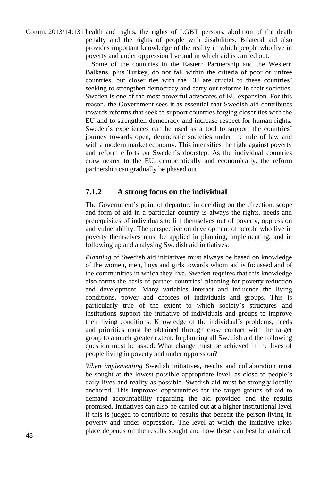Comm. 2013/14:131 health and rights, the rights of LGBT persons, abolition of the death penalty and the rights of people with disabilities. Bilateral aid also provides important knowledge of the reality in which people who live in poverty and under oppression live and in which aid is carried out.

> Some of the countries in the Eastern Partnership and the Western Balkans, plus Turkey, do not fall within the criteria of poor or unfree countries, but closer ties with the EU are crucial to these countries' seeking to strengthen democracy and carry out reforms in their societies. Sweden is one of the most powerful advocates of EU expansion. For this reason, the Government sees it as essential that Swedish aid contributes towards reforms that seek to support countries forging closer ties with the EU and to strengthen democracy and increase respect for human rights. Sweden's experiences can be used as a tool to support the countries' journey towards open, democratic societies under the rule of law and with a modern market economy. This intensifies the fight against poverty and reform efforts on Sweden's doorstep. As the individual countries draw nearer to the EU, democratically and economically, the reform partnership can gradually be phased out.

#### **7.1.2 A strong focus on the individual**

The Government's point of departure in deciding on the direction, scope and form of aid in a particular country is always the rights, needs and prerequisites of individuals to lift themselves out of poverty, oppression and vulnerability. The perspective on development of people who live in poverty themselves must be applied in planning, implementing, and in following up and analysing Swedish aid initiatives:

*Planning* of Swedish aid initiatives must always be based on knowledge of the women, men, boys and girls towards whom aid is focussed and of the communities in which they live. Sweden requires that this knowledge also forms the basis of partner countries' planning for poverty reduction and development. Many variables interact and influence the living conditions, power and choices of individuals and groups. This is particularly true of the extent to which society's structures and institutions support the initiative of individuals and groups to improve their living conditions. Knowledge of the individual's problems, needs and priorities must be obtained through close contact with the target group to a much greater extent. In planning all Swedish aid the following question must be asked: What change must be achieved in the lives of people living in poverty and under oppression?

*When implementing* Swedish initiatives, results and collaboration must be sought at the lowest possible appropriate level, as close to people's daily lives and reality as possible. Swedish aid must be strongly locally anchored. This improves opportunities for the target groups of aid to demand accountability regarding the aid provided and the results promised. Initiatives can also be carried out at a higher institutional level if this is judged to contribute to results that benefit the person living in poverty and under oppression. The level at which the initiative takes place depends on the results sought and how these can best be attained.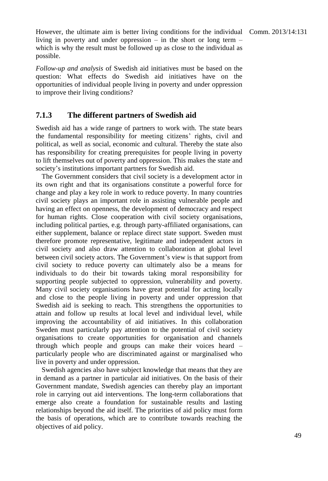However, the ultimate aim is better living conditions for the individual Comm. 2013/14:131 living in poverty and under oppression – in the short or long term – which is why the result must be followed up as close to the individual as possible.

*Follow-up and analysis* of Swedish aid initiatives must be based on the question: What effects do Swedish aid initiatives have on the opportunities of individual people living in poverty and under oppression to improve their living conditions?

#### **7.1.3 The different partners of Swedish aid**

Swedish aid has a wide range of partners to work with. The state bears the fundamental responsibility for meeting citizens' rights, civil and political, as well as social, economic and cultural. Thereby the state also has responsibility for creating prerequisites for people living in poverty to lift themselves out of poverty and oppression. This makes the state and society's institutions important partners for Swedish aid.

The Government considers that civil society is a development actor in its own right and that its organisations constitute a powerful force for change and play a key role in work to reduce poverty. In many countries civil society plays an important role in assisting vulnerable people and having an effect on openness, the development of democracy and respect for human rights. Close cooperation with civil society organisations, including political parties, e.g. through party-affiliated organisations, can either supplement, balance or replace direct state support. Sweden must therefore promote representative, legitimate and independent actors in civil society and also draw attention to collaboration at global level between civil society actors. The Government's view is that support from civil society to reduce poverty can ultimately also be a means for individuals to do their bit towards taking moral responsibility for supporting people subjected to oppression, vulnerability and poverty. Many civil society organisations have great potential for acting locally and close to the people living in poverty and under oppression that Swedish aid is seeking to reach. This strengthens the opportunities to attain and follow up results at local level and individual level, while improving the accountability of aid initiatives. In this collaboration Sweden must particularly pay attention to the potential of civil society organisations to create opportunities for organisation and channels through which people and groups can make their voices heard – particularly people who are discriminated against or marginalised who live in poverty and under oppression.

Swedish agencies also have subject knowledge that means that they are in demand as a partner in particular aid initiatives. On the basis of their Government mandate, Swedish agencies can thereby play an important role in carrying out aid interventions. The long-term collaborations that emerge also create a foundation for sustainable results and lasting relationships beyond the aid itself. The priorities of aid policy must form the basis of operations, which are to contribute towards reaching the objectives of aid policy.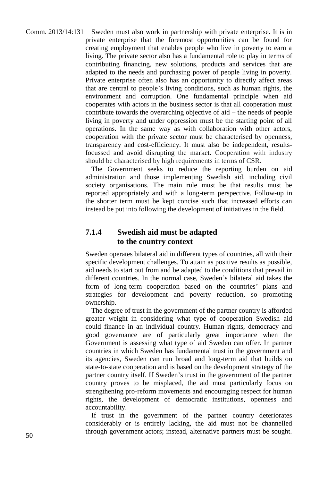Comm. 2013/14:131 Sweden must also work in partnership with private enterprise. It is in private enterprise that the foremost opportunities can be found for creating employment that enables people who live in poverty to earn a living. The private sector also has a fundamental role to play in terms of contributing financing, new solutions, products and services that are adapted to the needs and purchasing power of people living in poverty. Private enterprise often also has an opportunity to directly affect areas that are central to people's living conditions, such as human rights, the environment and corruption. One fundamental principle when aid cooperates with actors in the business sector is that all cooperation must contribute towards the overarching objective of aid – the needs of people living in poverty and under oppression must be the starting point of all operations. In the same way as with collaboration with other actors, cooperation with the private sector must be characterised by openness, transparency and cost-efficiency. It must also be independent, resultsfocussed and avoid disrupting the market. Cooperation with industry should be characterised by high requirements in terms of CSR.

The Government seeks to reduce the reporting burden on aid administration and those implementing Swedish aid, including civil society organisations. The main rule must be that results must be reported appropriately and with a long-term perspective. Follow-up in the shorter term must be kept concise such that increased efforts can instead be put into following the development of initiatives in the field.

#### **7.1.4 Swedish aid must be adapted to the country context**

Sweden operates bilateral aid in different types of countries, all with their specific development challenges. To attain as positive results as possible, aid needs to start out from and be adapted to the conditions that prevail in different countries. In the normal case, Sweden's bilateral aid takes the form of long-term cooperation based on the countries' plans and strategies for development and poverty reduction, so promoting ownership.

The degree of trust in the government of the partner country is afforded greater weight in considering what type of cooperation Swedish aid could finance in an individual country. Human rights, democracy and good governance are of particularly great importance when the Government is assessing what type of aid Sweden can offer. In partner countries in which Sweden has fundamental trust in the government and its agencies, Sweden can run broad and long-term aid that builds on state-to-state cooperation and is based on the development strategy of the partner country itself. If Sweden's trust in the government of the partner country proves to be misplaced, the aid must particularly focus on strengthening pro-reform movements and encouraging respect for human rights, the development of democratic institutions, openness and accountability.

If trust in the government of the partner country deteriorates considerably or is entirely lacking, the aid must not be channelled through government actors; instead, alternative partners must be sought.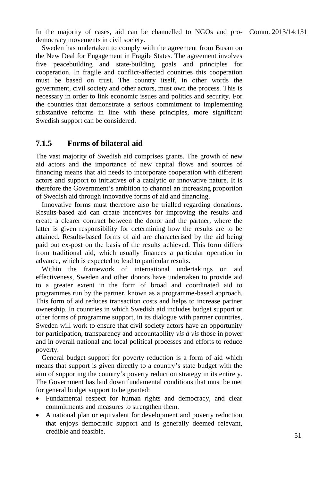In the majority of cases, aid can be channelled to NGOs and pro- Comm. 2013/14:131 democracy movements in civil society.

Sweden has undertaken to comply with the agreement from Busan on the New Deal for Engagement in Fragile States. The agreement involves five peacebuilding and state-building goals and principles for cooperation. In fragile and conflict-affected countries this cooperation must be based on trust. The country itself, in other words the government, civil society and other actors, must own the process. This is necessary in order to link economic issues and politics and security. For the countries that demonstrate a serious commitment to implementing substantive reforms in line with these principles, more significant Swedish support can be considered.

#### **7.1.5 Forms of bilateral aid**

The vast majority of Swedish aid comprises grants. The growth of new aid actors and the importance of new capital flows and sources of financing means that aid needs to incorporate cooperation with different actors and support to initiatives of a catalytic or innovative nature. It is therefore the Government's ambition to channel an increasing proportion of Swedish aid through innovative forms of aid and financing.

Innovative forms must therefore also be trialled regarding donations. Results-based aid can create incentives for improving the results and create a clearer contract between the donor and the partner, where the latter is given responsibility for determining how the results are to be attained. Results-based forms of aid are characterised by the aid being paid out ex-post on the basis of the results achieved. This form differs from traditional aid, which usually finances a particular operation in advance, which is expected to lead to particular results.

Within the framework of international undertakings on aid effectiveness, Sweden and other donors have undertaken to provide aid to a greater extent in the form of broad and coordinated aid to programmes run by the partner, known as a programme-based approach. This form of aid reduces transaction costs and helps to increase partner ownership. In countries in which Swedish aid includes budget support or other forms of programme support, in its dialogue with partner countries, Sweden will work to ensure that civil society actors have an opportunity for participation, transparency and accountability *vis à vis* those in power and in overall national and local political processes and efforts to reduce poverty.

General budget support for poverty reduction is a form of aid which means that support is given directly to a country's state budget with the aim of supporting the country's poverty reduction strategy in its entirety. The Government has laid down fundamental conditions that must be met for general budget support to be granted:

- Fundamental respect for human rights and democracy, and clear commitments and measures to strengthen them.
- A national plan or equivalent for development and poverty reduction that enjoys democratic support and is generally deemed relevant, credible and feasible.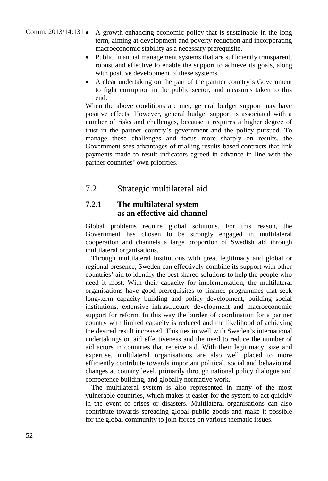#### Comm. 2013/14:131 A growth-enhancing economic policy that is sustainable in the long term, aiming at development and poverty reduction and incorporating macroeconomic stability as a necessary prerequisite.

- Public financial management systems that are sufficiently transparent, robust and effective to enable the support to achieve its goals, along with positive development of these systems.
- A clear undertaking on the part of the partner country's Government to fight corruption in the public sector, and measures taken to this end.

When the above conditions are met, general budget support may have positive effects. However, general budget support is associated with a number of risks and challenges, because it requires a higher degree of trust in the partner country's government and the policy pursued. To manage these challenges and focus more sharply on results, the Government sees advantages of trialling results-based contracts that link payments made to result indicators agreed in advance in line with the partner countries' own priorities.

### 7.2 Strategic multilateral aid

#### **7.2.1 The multilateral system as an effective aid channel**

Global problems require global solutions. For this reason, the Government has chosen to be strongly engaged in multilateral cooperation and channels a large proportion of Swedish aid through multilateral organisations.

Through multilateral institutions with great legitimacy and global or regional presence, Sweden can effectively combine its support with other countries' aid to identify the best shared solutions to help the people who need it most. With their capacity for implementation, the multilateral organisations have good prerequisites to finance programmes that seek long-term capacity building and policy development, building social institutions, extensive infrastructure development and macroeconomic support for reform. In this way the burden of coordination for a partner country with limited capacity is reduced and the likelihood of achieving the desired result increased. This ties in well with Sweden's international undertakings on aid effectiveness and the need to reduce the number of aid actors in countries that receive aid. With their legitimacy, size and expertise, multilateral organisations are also well placed to more efficiently contribute towards important political, social and behavioural changes at country level, primarily through national policy dialogue and competence building, and globally normative work.

The multilateral system is also represented in many of the most vulnerable countries, which makes it easier for the system to act quickly in the event of crises or disasters. Multilateral organisations can also contribute towards spreading global public goods and make it possible for the global community to join forces on various thematic issues.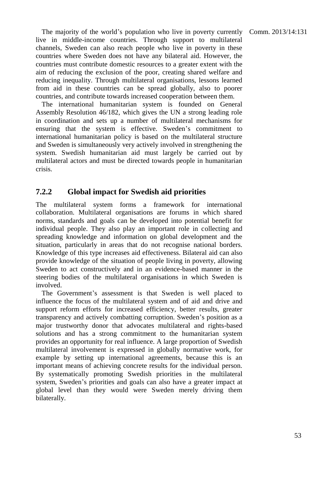The majority of the world's population who live in poverty currently Comm. 2013/14:131 live in middle-income countries. Through support to multilateral channels, Sweden can also reach people who live in poverty in these countries where Sweden does not have any bilateral aid. However, the countries must contribute domestic resources to a greater extent with the aim of reducing the exclusion of the poor, creating shared welfare and reducing inequality. Through multilateral organisations, lessons learned from aid in these countries can be spread globally, also to poorer countries, and contribute towards increased cooperation between them.

The international humanitarian system is founded on General Assembly Resolution 46/182, which gives the UN a strong leading role in coordination and sets up a number of multilateral mechanisms for ensuring that the system is effective. Sweden's commitment to international humanitarian policy is based on the multilateral structure and Sweden is simultaneously very actively involved in strengthening the system. Swedish humanitarian aid must largely be carried out by multilateral actors and must be directed towards people in humanitarian crisis.

#### **7.2.2 Global impact for Swedish aid priorities**

The multilateral system forms a framework for international collaboration. Multilateral organisations are forums in which shared norms, standards and goals can be developed into potential benefit for individual people. They also play an important role in collecting and spreading knowledge and information on global development and the situation, particularly in areas that do not recognise national borders. Knowledge of this type increases aid effectiveness. Bilateral aid can also provide knowledge of the situation of people living in poverty, allowing Sweden to act constructively and in an evidence-based manner in the steering bodies of the multilateral organisations in which Sweden is involved.

The Government's assessment is that Sweden is well placed to influence the focus of the multilateral system and of aid and drive and support reform efforts for increased efficiency, better results, greater transparency and actively combatting corruption. Sweden's position as a major trustworthy donor that advocates multilateral and rights-based solutions and has a strong commitment to the humanitarian system provides an opportunity for real influence. A large proportion of Swedish multilateral involvement is expressed in globally normative work, for example by setting up international agreements, because this is an important means of achieving concrete results for the individual person. By systematically promoting Swedish priorities in the multilateral system, Sweden's priorities and goals can also have a greater impact at global level than they would were Sweden merely driving them bilaterally.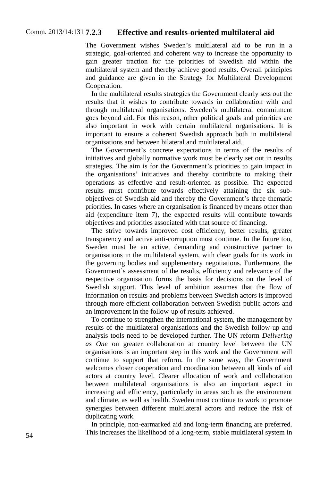#### Comm. 2013/14:131 **7.2.3 7.2.3 Effective and results-oriented multilateral aid**

The Government wishes Sweden's multilateral aid to be run in a strategic, goal-oriented and coherent way to increase the opportunity to gain greater traction for the priorities of Swedish aid within the multilateral system and thereby achieve good results. Overall principles and guidance are given in the Strategy for Multilateral Development Cooperation.

In the multilateral results strategies the Government clearly sets out the results that it wishes to contribute towards in collaboration with and through multilateral organisations. Sweden's multilateral commitment goes beyond aid. For this reason, other political goals and priorities are also important in work with certain multilateral organisations. It is important to ensure a coherent Swedish approach both in multilateral organisations and between bilateral and multilateral aid.

The Government's concrete expectations in terms of the results of initiatives and globally normative work must be clearly set out in results strategies. The aim is for the Government's priorities to gain impact in the organisations' initiatives and thereby contribute to making their operations as effective and result-oriented as possible. The expected results must contribute towards effectively attaining the six subobjectives of Swedish aid and thereby the Government's three thematic priorities. In cases where an organisation is financed by means other than aid (expenditure item 7), the expected results will contribute towards objectives and priorities associated with that source of financing.

The strive towards improved cost efficiency, better results, greater transparency and active anti-corruption must continue. In the future too, Sweden must be an active, demanding and constructive partner to organisations in the multilateral system, with clear goals for its work in the governing bodies and supplementary negotiations. Furthermore, the Government's assessment of the results, efficiency and relevance of the respective organisation forms the basis for decisions on the level of Swedish support. This level of ambition assumes that the flow of information on results and problems between Swedish actors is improved through more efficient collaboration between Swedish public actors and an improvement in the follow-up of results achieved.

To continue to strengthen the international system, the management by results of the multilateral organisations and the Swedish follow-up and analysis tools need to be developed further. The UN reform *Delivering as One* on greater collaboration at country level between the UN organisations is an important step in this work and the Government will continue to support that reform. In the same way, the Government welcomes closer cooperation and coordination between all kinds of aid actors at country level. Clearer allocation of work and collaboration between multilateral organisations is also an important aspect in increasing aid efficiency, particularly in areas such as the environment and climate, as well as health. Sweden must continue to work to promote synergies between different multilateral actors and reduce the risk of duplicating work.

In principle, non-earmarked aid and long-term financing are preferred. This increases the likelihood of a long-term, stable multilateral system in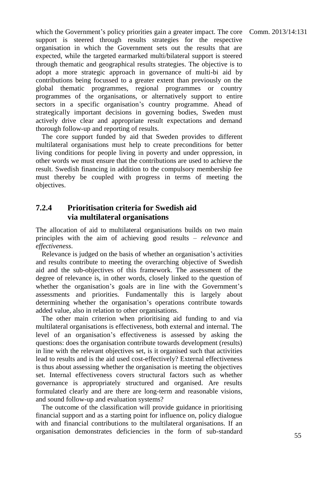which the Government's policy priorities gain a greater impact. The core Comm. 2013/14:131 support is steered through results strategies for the respective organisation in which the Government sets out the results that are expected, while the targeted earmarked multi/bilateral support is steered through thematic and geographical results strategies. The objective is to adopt a more strategic approach in governance of multi-bi aid by contributions being focussed to a greater extent than previously on the global thematic programmes, regional programmes or country programmes of the organisations, or alternatively support to entire sectors in a specific organisation's country programme. Ahead of strategically important decisions in governing bodies, Sweden must actively drive clear and appropriate result expectations and demand thorough follow-up and reporting of results.

The core support funded by aid that Sweden provides to different multilateral organisations must help to create preconditions for better living conditions for people living in poverty and under oppression, in other words we must ensure that the contributions are used to achieve the result. Swedish financing in addition to the compulsory membership fee must thereby be coupled with progress in terms of meeting the objectives.

#### **7.2.4 Prioritisation criteria for Swedish aid via multilateral organisations**

The allocation of aid to multilateral organisations builds on two main principles with the aim of achieving good results – *relevance* and *effectiveness*.

Relevance is judged on the basis of whether an organisation's activities and results contribute to meeting the overarching objective of Swedish aid and the sub-objectives of this framework. The assessment of the degree of relevance is, in other words, closely linked to the question of whether the organisation's goals are in line with the Government's assessments and priorities. Fundamentally this is largely about determining whether the organisation's operations contribute towards added value, also in relation to other organisations.

The other main criterion when prioritising aid funding to and via multilateral organisations is effectiveness, both external and internal. The level of an organisation's effectiveness is assessed by asking the questions: does the organisation contribute towards development (results) in line with the relevant objectives set, is it organised such that activities lead to results and is the aid used cost-effectively? External effectiveness is thus about assessing whether the organisation is meeting the objectives set. Internal effectiveness covers structural factors such as whether governance is appropriately structured and organised. Are results formulated clearly and are there are long-term and reasonable visions, and sound follow-up and evaluation systems?

The outcome of the classification will provide guidance in prioritising financial support and as a starting point for influence on, policy dialogue with and financial contributions to the multilateral organisations. If an organisation demonstrates deficiencies in the form of sub-standard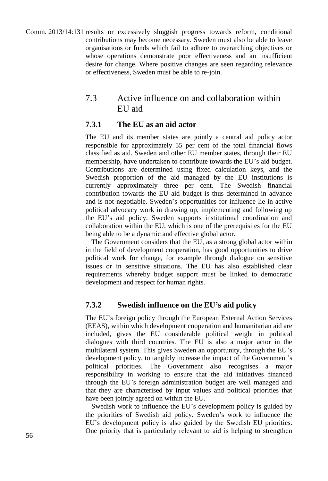Comm. 2013/14:131 results or excessively sluggish progress towards reform, conditional contributions may become necessary. Sweden must also be able to leave organisations or funds which fail to adhere to overarching objectives or whose operations demonstrate poor effectiveness and an insufficient desire for change. Where positive changes are seen regarding relevance or effectiveness, Sweden must be able to re-join.

### 7.3 Active influence on and collaboration within EU aid

#### **7.3.1 The EU as an aid actor**

The EU and its member states are jointly a central aid policy actor responsible for approximately 55 per cent of the total financial flows classified as aid. Sweden and other EU member states, through their EU membership, have undertaken to contribute towards the EU's aid budget. Contributions are determined using fixed calculation keys, and the Swedish proportion of the aid managed by the EU institutions is currently approximately three per cent. The Swedish financial contribution towards the EU aid budget is thus determined in advance and is not negotiable. Sweden's opportunities for influence lie in active political advocacy work in drawing up, implementing and following up the EU's aid policy. Sweden supports institutional coordination and collaboration within the EU, which is one of the prerequisites for the EU being able to be a dynamic and effective global actor.

The Government considers that the EU, as a strong global actor within in the field of development cooperation, has good opportunities to drive political work for change, for example through dialogue on sensitive issues or in sensitive situations. The EU has also established clear requirements whereby budget support must be linked to democratic development and respect for human rights.

#### **7.3.2 Swedish influence on the EU's aid policy**

The EU's foreign policy through the European External Action Services (EEAS), within which development cooperation and humanitarian aid are included, gives the EU considerable political weight in political dialogues with third countries. The EU is also a major actor in the multilateral system. This gives Sweden an opportunity, through the EU's development policy, to tangibly increase the impact of the Government's political priorities. The Government also recognises a major responsibility in working to ensure that the aid initiatives financed through the EU's foreign administration budget are well managed and that they are characterised by input values and political priorities that have been jointly agreed on within the EU.

Swedish work to influence the EU's development policy is guided by the priorities of Swedish aid policy. Sweden's work to influence the EU's development policy is also guided by the Swedish EU priorities. One priority that is particularly relevant to aid is helping to strengthen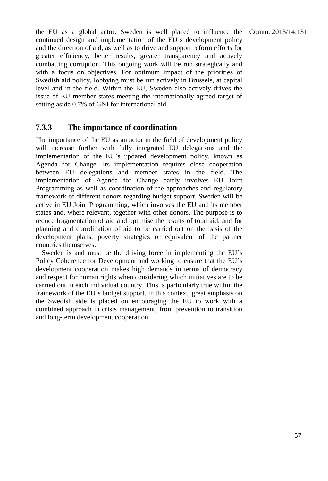the EU as a global actor. Sweden is well placed to influence the Comm.  $2013/14:131$ continued design and implementation of the EU's development policy and the direction of aid, as well as to drive and support reform efforts for greater efficiency, better results, greater transparency and actively combatting corruption. This ongoing work will be run strategically and with a focus on objectives. For optimum impact of the priorities of

Swedish aid policy, lobbying must be run actively in Brussels, at capital level and in the field. Within the EU, Sweden also actively drives the issue of EU member states meeting the internationally agreed target of setting aside 0.7% of GNI for international aid.

#### **7.3.3 The importance of coordination**

The importance of the EU as an actor in the field of development policy will increase further with fully integrated EU delegations and the implementation of the EU's updated development policy, known as Agenda for Change. Its implementation requires close cooperation between EU delegations and member states in the field. The implementation of Agenda for Change partly involves EU Joint Programming as well as coordination of the approaches and regulatory framework of different donors regarding budget support. Sweden will be active in EU Joint Programming, which involves the EU and its member states and, where relevant, together with other donors. The purpose is to reduce fragmentation of aid and optimise the results of total aid, and for planning and coordination of aid to be carried out on the basis of the development plans, poverty strategies or equivalent of the partner countries themselves.

Sweden is and must be the driving force in implementing the EU's Policy Coherence for Development and working to ensure that the EU's development cooperation makes high demands in terms of democracy and respect for human rights when considering which initiatives are to be carried out in each individual country. This is particularly true within the framework of the EU's budget support. In this context, great emphasis on the Swedish side is placed on encouraging the EU to work with a combined approach in crisis management, from prevention to transition and long-term development cooperation.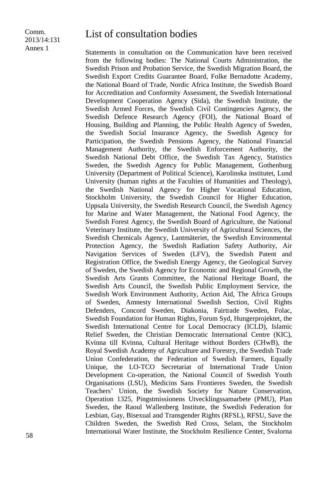#### Comm. 2013/14:131 Annex 1

# List of consultation bodies

Statements in consultation on the Communication have been received from the following bodies: The National Courts Administration, the Swedish Prison and Probation Service, the Swedish Migration Board, the Swedish Export Credits Guarantee Board, Folke Bernadotte Academy, the National Board of Trade, Nordic Africa Institute, the Swedish Board for Accreditation and Conformity Assessment, the Swedish International Development Cooperation Agency (Sida), the Swedish Institute, the Swedish Armed Forces, the Swedish Civil Contingencies Agency, the Swedish Defence Research Agency (FOI), the National Board of Housing, Building and Planning, the Public Health Agency of Sweden, the Swedish Social Insurance Agency, the Swedish Agency for Participation, the Swedish Pensions Agency, the National Financial Management Authority, the Swedish Enforcement Authority, the Swedish National Debt Office, the Swedish Tax Agency, Statistics Sweden, the Swedish Agency for Public Management, Gothenburg University (Department of Political Science), Karolinska institutet, Lund University (human rights at the Faculties of Humanities and Theology), the Swedish National Agency for Higher Vocational Education, Stockholm University, the Swedish Council for Higher Education, Uppsala University, the Swedish Research Council, the Swedish Agency for Marine and Water Management, the National Food Agency, the Swedish Forest Agency, the Swedish Board of Agriculture, the National Veterinary Institute, the Swedish University of Agricultural Sciences, the Swedish Chemicals Agency, Lantmäteriet, the Swedish Environmental Protection Agency, the Swedish Radiation Safety Authority, Air Navigation Services of Sweden (LFV), the Swedish Patent and Registration Office, the Swedish Energy Agency, the Geological Survey of Sweden, the Swedish Agency for Economic and Regional Growth, the Swedish Arts Grants Committee, the National Heritage Board, the Swedish Arts Council, the Swedish Public Employment Service, the Swedish Work Environment Authority, Action Aid, The Africa Groups of Sweden, Amnesty International Swedish Section, Civil Rights Defenders, Concord Sweden, Diakonia, Fairtrade Sweden, Folac, Swedish Foundation for Human Rights, Forum Syd, Hungerprojektet, the Swedish International Centre for Local Democracy (ICLD), Islamic Relief Sweden, the Christian Democratic International Centre (KIC), Kvinna till Kvinna, Cultural Heritage without Borders (CHwB), the Royal Swedish Academy of Agriculture and Forestry, the Swedish Trade Union Confederation, the Federation of Swedish Farmers, Equally Unique, the LO-TCO Secretariat of International Trade Union Development Co-operation, the National Council of Swedish Youth Organisations (LSU), Medicins Sans Frontieres Sweden, the Swedish Teachers' Union, the Swedish Society for Nature Conservation, Operation 1325, Pingstmissionens Utvecklingssamarbete (PMU), Plan Sweden, the Raoul Wallenberg Institute, the Swedish Federation for Lesbian, Gay, Bisexual and Transgender Rights (RFSL), RFSU, Save the Children Sweden, the Swedish Red Cross, Selam, the Stockholm International Water Institute, the Stockholm Resilience Center, Svalorna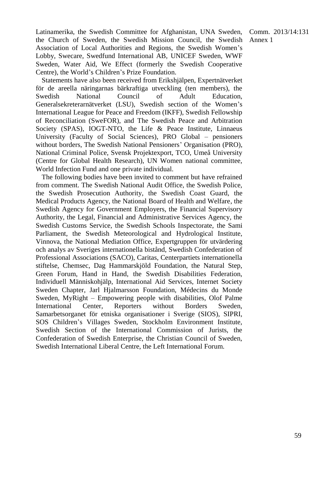Comm. 2013/14:131 Annex 1

Latinamerika, the Swedish Committee for Afghanistan, UNA Sweden, the Church of Sweden, the Swedish Mission Council, the Swedish Association of Local Authorities and Regions, the Swedish Women's Lobby, Swecare, Swedfund International AB, UNICEF Sweden, WWF Sweden, Water Aid, We Effect (formerly the Swedish Cooperative Centre), the World's Children's Prize Foundation.

Statements have also been received from Erikshjälpen, Expertnätverket för de areella näringarnas bärkraftiga utveckling (ten members), the Swedish National Council of Adult Education, Generalsekreterarnätverket (LSU), Swedish section of the Women's International League for Peace and Freedom (IKFF), Swedish Fellowship of Reconciliation (SweFOR), and The Swedish Peace and Arbitration Society (SPAS), IOGT-NTO, the Life & Peace Institute, Linnaeus University (Faculty of Social Sciences), PRO Global – pensioners without borders, The Swedish National Pensioners' Organisation (PRO), National Criminal Police, Svensk Projektexport, TCO, Umeå University (Centre for Global Health Research), UN Women national committee, World Infection Fund and one private individual.

The following bodies have been invited to comment but have refrained from comment. The Swedish National Audit Office, the Swedish Police, the Swedish Prosecution Authority, the Swedish Coast Guard, the Medical Products Agency, the National Board of Health and Welfare, the Swedish Agency for Government Employers, the Financial Supervisory Authority, the Legal, Financial and Administrative Services Agency, the Swedish Customs Service, the Swedish Schools Inspectorate, the Sami Parliament, the Swedish Meteorological and Hydrological Institute, Vinnova, the National Mediation Office, Expertgruppen för utvärdering och analys av Sveriges internationella bistånd, Swedish Confederation of Professional Associations (SACO), Caritas, Centerpartiets internationella stiftelse, Chemsec, Dag Hammarskjöld Foundation, the Natural Step, Green Forum, Hand in Hand, the Swedish Disabilities Federation, Individuell Människohjälp, International Aid Services, Internet Society Sweden Chapter, Jarl Hjalmarsson Foundation, Médecins du Monde Sweden, MyRight – Empowering people with disabilities, Olof Palme International Center, Reporters without Borders Sweden, Samarbetsorganet för etniska organisationer i Sverige (SIOS), SIPRI, SOS Children's Villages Sweden, Stockholm Environment Institute, Swedish Section of the International Commission of Jurists, the Confederation of Swedish Enterprise, the Christian Council of Sweden, Swedish International Liberal Centre, the Left International Forum.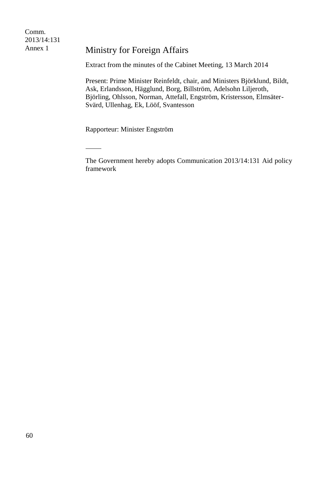Comm. 2013/14:131 Annex 1

### Ministry for Foreign Affairs

Extract from the minutes of the Cabinet Meeting, 13 March 2014

Present: Prime Minister Reinfeldt, chair, and Ministers Björklund, Bildt, Ask, Erlandsson, Hägglund, Borg, Billström, Adelsohn Liljeroth, Björling, Ohlsson, Norman, Attefall, Engström, Kristersson, Elmsäter-Svärd, Ullenhag, Ek, Lööf, Svantesson

Rapporteur: Minister Engström

 $\overline{a}$ 

The Government hereby adopts Communication 2013/14:131 Aid policy framework